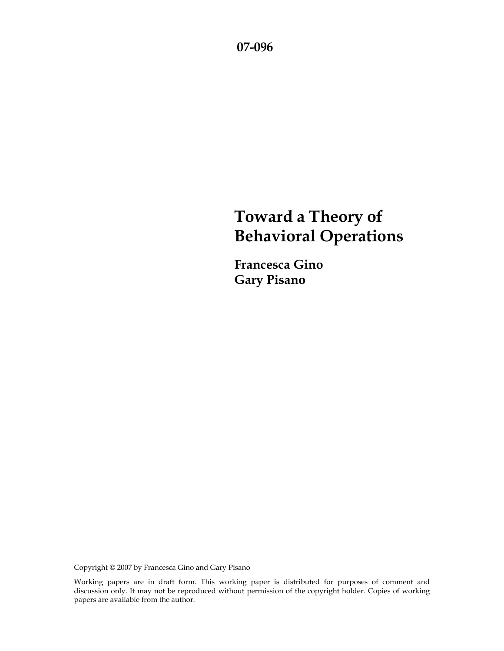**07-096** 

# **Toward a Theory of Behavioral Operations**

**Francesca Gino Gary Pisano** 

Copyright © 2007 by Francesca Gino and Gary Pisano

Working papers are in draft form. This working paper is distributed for purposes of comment and discussion only. It may not be reproduced without permission of the copyright holder. Copies of working papers are available from the author.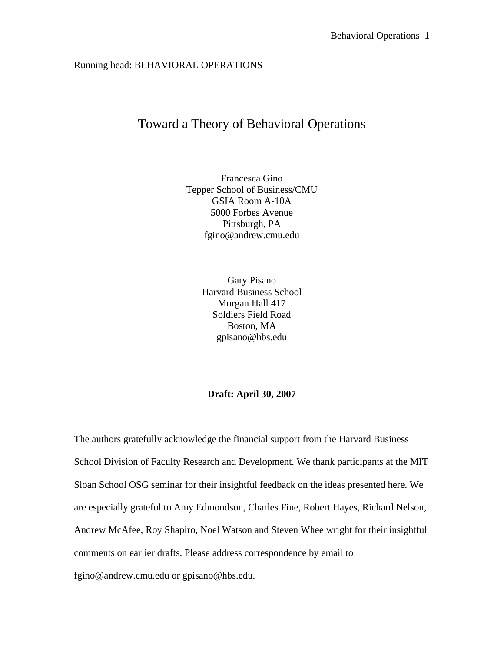# Running head: BEHAVIORAL OPERATIONS

# Toward a Theory of Behavioral Operations

Francesca Gino Tepper School of Business/CMU GSIA Room A-10A 5000 Forbes Avenue Pittsburgh, PA fgino@andrew.cmu.edu

> Gary Pisano Harvard Business School Morgan Hall 417 Soldiers Field Road Boston, MA gpisano@hbs.edu

# **Draft: April 30, 2007**

The authors gratefully acknowledge the financial support from the Harvard Business School Division of Faculty Research and Development. We thank participants at the MIT Sloan School OSG seminar for their insightful feedback on the ideas presented here. We are especially grateful to Amy Edmondson, Charles Fine, Robert Hayes, Richard Nelson, Andrew McAfee, Roy Shapiro, Noel Watson and Steven Wheelwright for their insightful comments on earlier drafts. Please address correspondence by email to fgino@andrew.cmu.edu or gpisano@hbs.edu.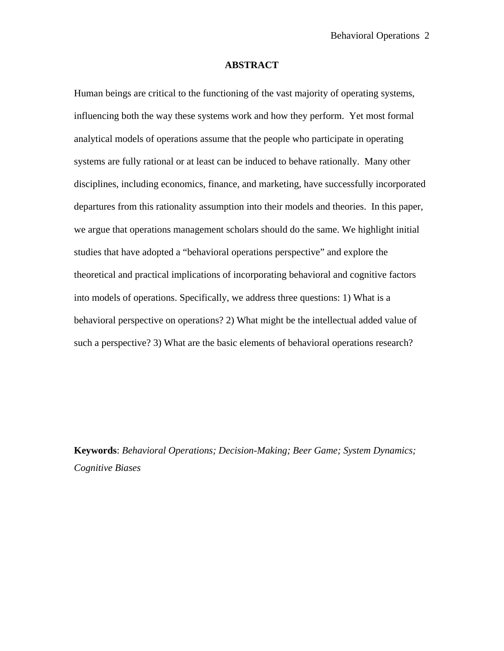# **ABSTRACT**

Human beings are critical to the functioning of the vast majority of operating systems, influencing both the way these systems work and how they perform. Yet most formal analytical models of operations assume that the people who participate in operating systems are fully rational or at least can be induced to behave rationally. Many other disciplines, including economics, finance, and marketing, have successfully incorporated departures from this rationality assumption into their models and theories. In this paper, we argue that operations management scholars should do the same. We highlight initial studies that have adopted a "behavioral operations perspective" and explore the theoretical and practical implications of incorporating behavioral and cognitive factors into models of operations. Specifically, we address three questions: 1) What is a behavioral perspective on operations? 2) What might be the intellectual added value of such a perspective? 3) What are the basic elements of behavioral operations research?

**Keywords**: *Behavioral Operations; Decision-Making; Beer Game; System Dynamics; Cognitive Biases*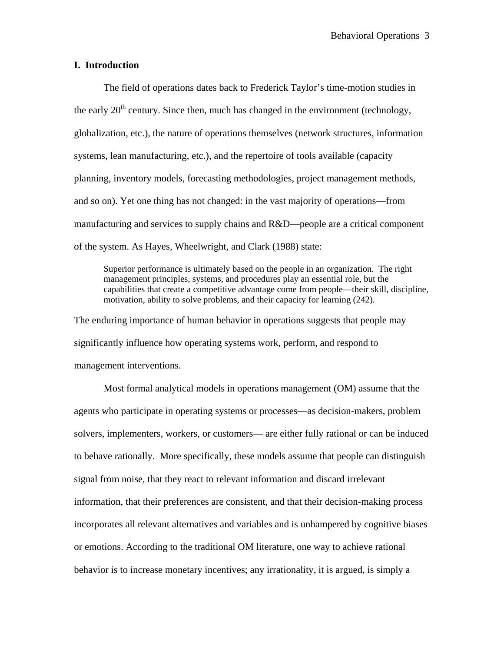# **I. Introduction**

The field of operations dates back to Frederick Taylor's time-motion studies in the early  $20<sup>th</sup>$  century. Since then, much has changed in the environment (technology, globalization, etc.), the nature of operations themselves (network structures, information systems, lean manufacturing, etc.), and the repertoire of tools available (capacity planning, inventory models, forecasting methodologies, project management methods, and so on). Yet one thing has not changed: in the vast majority of operations—from manufacturing and services to supply chains and R&D—people are a critical component of the system. As Hayes, Wheelwright, and Clark (1988) state:

Superior performance is ultimately based on the people in an organization. The right management principles, systems, and procedures play an essential role, but the capabilities that create a competitive advantage come from people—their skill, discipline, motivation, ability to solve problems, and their capacity for learning (242).

The enduring importance of human behavior in operations suggests that people may significantly influence how operating systems work, perform, and respond to management interventions.

Most formal analytical models in operations management (OM) assume that the agents who participate in operating systems or processes—as decision-makers, problem solvers, implementers, workers, or customers— are either fully rational or can be induced to behave rationally. More specifically, these models assume that people can distinguish signal from noise, that they react to relevant information and discard irrelevant information, that their preferences are consistent, and that their decision-making process incorporates all relevant alternatives and variables and is unhampered by cognitive biases or emotions. According to the traditional OM literature, one way to achieve rational behavior is to increase monetary incentives; any irrationality, it is argued, is simply a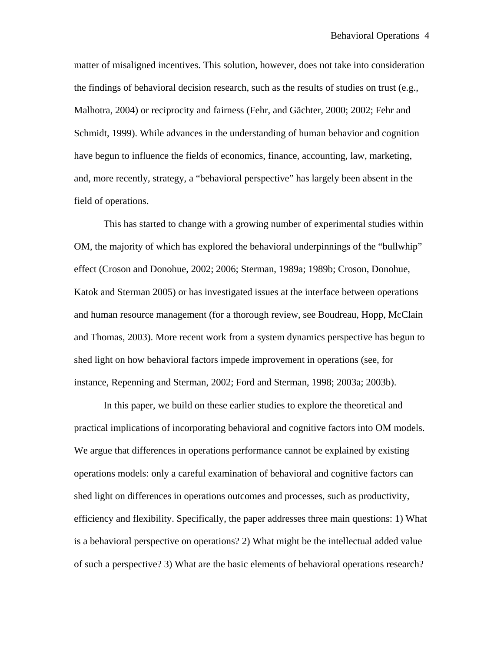matter of misaligned incentives. This solution, however, does not take into consideration the findings of behavioral decision research, such as the results of studies on trust (e.g., Malhotra, 2004) or reciprocity and fairness (Fehr, and Gächter, 2000; 2002; Fehr and Schmidt, 1999). While advances in the understanding of human behavior and cognition have begun to influence the fields of economics, finance, accounting, law, marketing, and, more recently, strategy, a "behavioral perspective" has largely been absent in the field of operations.

This has started to change with a growing number of experimental studies within OM, the majority of which has explored the behavioral underpinnings of the "bullwhip" effect (Croson and Donohue, 2002; 2006; Sterman, 1989a; 1989b; Croson, Donohue, Katok and Sterman 2005) or has investigated issues at the interface between operations and human resource management (for a thorough review, see Boudreau, Hopp, McClain and Thomas, 2003). More recent work from a system dynamics perspective has begun to shed light on how behavioral factors impede improvement in operations (see, for instance, Repenning and Sterman, 2002; Ford and Sterman, 1998; 2003a; 2003b).

In this paper, we build on these earlier studies to explore the theoretical and practical implications of incorporating behavioral and cognitive factors into OM models. We argue that differences in operations performance cannot be explained by existing operations models: only a careful examination of behavioral and cognitive factors can shed light on differences in operations outcomes and processes, such as productivity, efficiency and flexibility. Specifically, the paper addresses three main questions: 1) What is a behavioral perspective on operations? 2) What might be the intellectual added value of such a perspective? 3) What are the basic elements of behavioral operations research?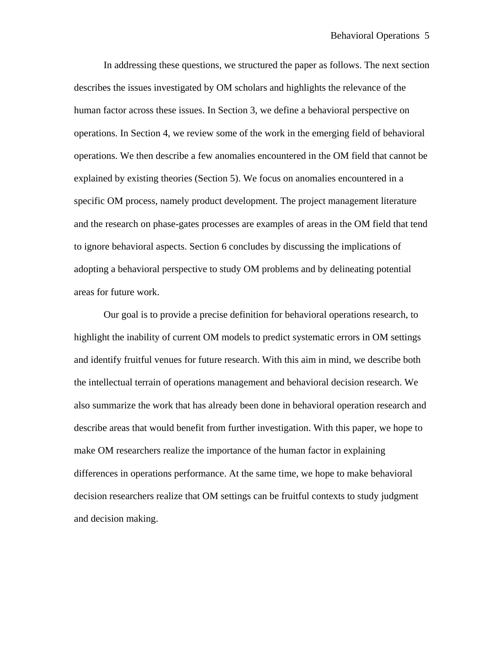In addressing these questions, we structured the paper as follows. The next section describes the issues investigated by OM scholars and highlights the relevance of the human factor across these issues. In Section 3, we define a behavioral perspective on operations. In Section 4, we review some of the work in the emerging field of behavioral operations. We then describe a few anomalies encountered in the OM field that cannot be explained by existing theories (Section 5). We focus on anomalies encountered in a specific OM process, namely product development. The project management literature and the research on phase-gates processes are examples of areas in the OM field that tend to ignore behavioral aspects. Section 6 concludes by discussing the implications of adopting a behavioral perspective to study OM problems and by delineating potential areas for future work.

Our goal is to provide a precise definition for behavioral operations research, to highlight the inability of current OM models to predict systematic errors in OM settings and identify fruitful venues for future research. With this aim in mind, we describe both the intellectual terrain of operations management and behavioral decision research. We also summarize the work that has already been done in behavioral operation research and describe areas that would benefit from further investigation. With this paper, we hope to make OM researchers realize the importance of the human factor in explaining differences in operations performance. At the same time, we hope to make behavioral decision researchers realize that OM settings can be fruitful contexts to study judgment and decision making.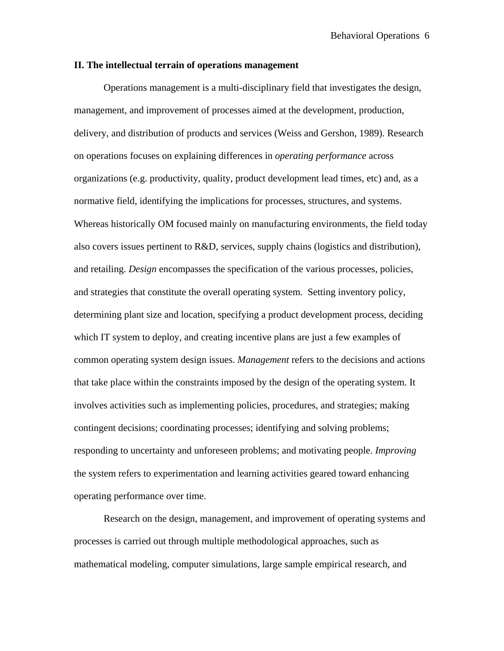# **II. The intellectual terrain of operations management**

Operations management is a multi-disciplinary field that investigates the design, management, and improvement of processes aimed at the development, production, delivery, and distribution of products and services (Weiss and Gershon, 1989). Research on operations focuses on explaining differences in *operating performance* across organizations (e.g. productivity, quality, product development lead times, etc) and, as a normative field, identifying the implications for processes, structures, and systems. Whereas historically OM focused mainly on manufacturing environments, the field today also covers issues pertinent to R&D, services, supply chains (logistics and distribution), and retailing. *Design* encompasses the specification of the various processes, policies, and strategies that constitute the overall operating system. Setting inventory policy, determining plant size and location, specifying a product development process, deciding which IT system to deploy, and creating incentive plans are just a few examples of common operating system design issues. *Management* refers to the decisions and actions that take place within the constraints imposed by the design of the operating system. It involves activities such as implementing policies, procedures, and strategies; making contingent decisions; coordinating processes; identifying and solving problems; responding to uncertainty and unforeseen problems; and motivating people. *Improving* the system refers to experimentation and learning activities geared toward enhancing operating performance over time.

Research on the design, management, and improvement of operating systems and processes is carried out through multiple methodological approaches, such as mathematical modeling, computer simulations, large sample empirical research, and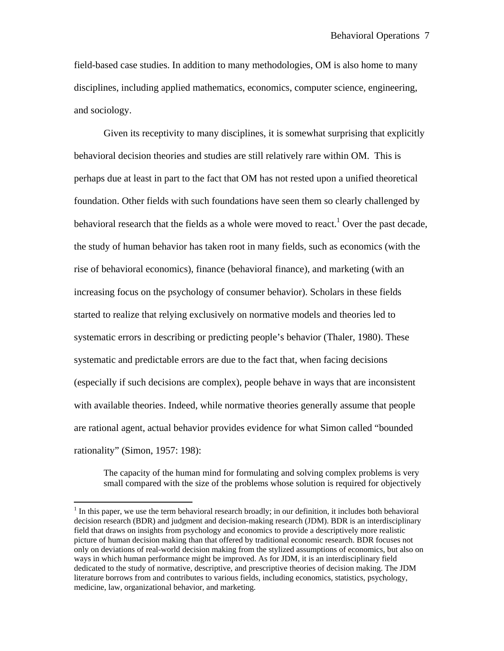field-based case studies. In addition to many methodologies, OM is also home to many disciplines, including applied mathematics, economics, computer science, engineering, and sociology.

Given its receptivity to many disciplines, it is somewhat surprising that explicitly behavioral decision theories and studies are still relatively rare within OM. This is perhaps due at least in part to the fact that OM has not rested upon a unified theoretical foundation. Other fields with such foundations have seen them so clearly challenged by behavioral research that the fields as a whole were moved to react.<sup>1</sup> Over the past decade, the study of human behavior has taken root in many fields, such as economics (with the rise of behavioral economics), finance (behavioral finance), and marketing (with an increasing focus on the psychology of consumer behavior). Scholars in these fields started to realize that relying exclusively on normative models and theories led to systematic errors in describing or predicting people's behavior (Thaler, 1980). These systematic and predictable errors are due to the fact that, when facing decisions (especially if such decisions are complex), people behave in ways that are inconsistent with available theories. Indeed, while normative theories generally assume that people are rational agent, actual behavior provides evidence for what Simon called "bounded rationality" (Simon, 1957: 198):

The capacity of the human mind for formulating and solving complex problems is very small compared with the size of the problems whose solution is required for objectively

 $\overline{a}$ 

 $<sup>1</sup>$  In this paper, we use the term behavioral research broadly; in our definition, it includes both behavioral</sup> decision research (BDR) and judgment and decision-making research (JDM). BDR is an interdisciplinary field that draws on insights from psychology and economics to provide a descriptively more realistic picture of human decision making than that offered by traditional economic research. BDR focuses not only on deviations of real-world decision making from the stylized assumptions of economics, but also on ways in which human performance might be improved. As for JDM, it is an interdisciplinary field dedicated to the study of normative, descriptive, and prescriptive theories of decision making. The JDM literature borrows from and contributes to various fields, including economics, statistics, psychology, medicine, law, organizational behavior, and marketing.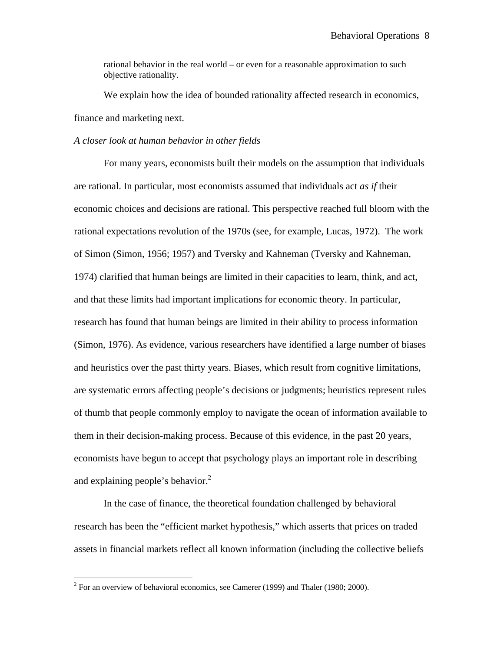rational behavior in the real world – or even for a reasonable approximation to such objective rationality.

We explain how the idea of bounded rationality affected research in economics, finance and marketing next.

# *A closer look at human behavior in other fields*

For many years, economists built their models on the assumption that individuals are rational. In particular, most economists assumed that individuals act *as if* their economic choices and decisions are rational. This perspective reached full bloom with the rational expectations revolution of the 1970s (see, for example, Lucas, 1972). The work of Simon (Simon, 1956; 1957) and Tversky and Kahneman (Tversky and Kahneman, 1974) clarified that human beings are limited in their capacities to learn, think, and act, and that these limits had important implications for economic theory. In particular, research has found that human beings are limited in their ability to process information (Simon, 1976). As evidence, various researchers have identified a large number of biases and heuristics over the past thirty years. Biases, which result from cognitive limitations, are systematic errors affecting people's decisions or judgments; heuristics represent rules of thumb that people commonly employ to navigate the ocean of information available to them in their decision-making process. Because of this evidence, in the past 20 years, economists have begun to accept that psychology plays an important role in describing and explaining people's behavior. $^{2}$ 

In the case of finance, the theoretical foundation challenged by behavioral research has been the "efficient market hypothesis," which asserts that prices on traded assets in financial markets reflect all known information (including the collective beliefs

<u>.</u>

 $2^2$  For an overview of behavioral economics, see Camerer (1999) and Thaler (1980; 2000).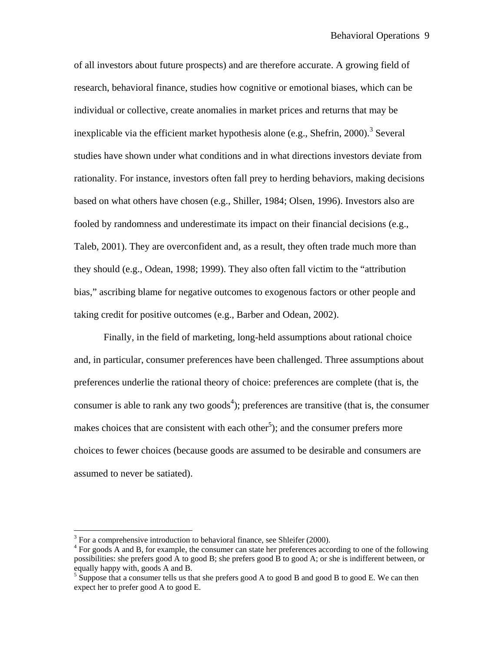of all investors about future prospects) and are therefore accurate. A growing field of research, behavioral finance, studies how cognitive or emotional biases, which can be individual or collective, create anomalies in market prices and returns that may be inexplicable via the efficient market hypothesis alone (e.g., Shefrin, 2000).<sup>3</sup> Several studies have shown under what conditions and in what directions investors deviate from rationality. For instance, investors often fall prey to herding behaviors, making decisions based on what others have chosen (e.g., Shiller, 1984; Olsen, 1996). Investors also are fooled by randomness and underestimate its impact on their financial decisions (e.g., Taleb, 2001). They are overconfident and, as a result, they often trade much more than they should (e.g., Odean, 1998; 1999). They also often fall victim to the "attribution bias," ascribing blame for negative outcomes to exogenous factors or other people and taking credit for positive outcomes (e.g., Barber and Odean, 2002).

Finally, in the field of marketing, long-held assumptions about rational choice and, in particular, consumer preferences have been challenged. Three assumptions about preferences underlie the rational theory of choice: preferences are complete (that is, the consumer is able to rank any two goods<sup>4</sup>); preferences are transitive (that is, the consumer makes choices that are consistent with each other<sup>5</sup>); and the consumer prefers more choices to fewer choices (because goods are assumed to be desirable and consumers are assumed to never be satiated).

 $\overline{a}$ 

 $3$  For a comprehensive introduction to behavioral finance, see Shleifer (2000).

<sup>&</sup>lt;sup>4</sup> For goods A and B, for example, the consumer can state her preferences according to one of the following possibilities: she prefers good A to good B; she prefers good B to good A; or she is indifferent between, or equally happy with, goods A and B.

<sup>&</sup>lt;sup>5</sup> Suppose that a consumer tells us that she prefers good A to good B and good B to good E. We can then expect her to prefer good A to good E.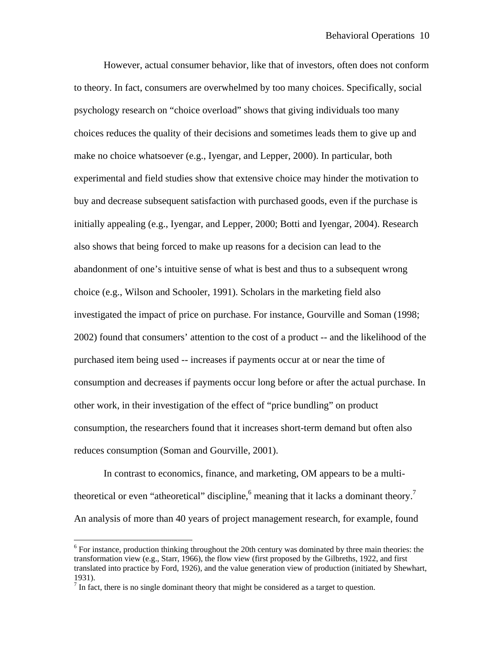However, actual consumer behavior, like that of investors, often does not conform to theory. In fact, consumers are overwhelmed by too many choices. Specifically, social psychology research on "choice overload" shows that giving individuals too many choices reduces the quality of their decisions and sometimes leads them to give up and make no choice whatsoever (e.g., Iyengar, and Lepper, 2000). In particular, both experimental and field studies show that extensive choice may hinder the motivation to buy and decrease subsequent satisfaction with purchased goods, even if the purchase is initially appealing (e.g., Iyengar, and Lepper, 2000; Botti and Iyengar, 2004). Research also shows that being forced to make up reasons for a decision can lead to the abandonment of one's intuitive sense of what is best and thus to a subsequent wrong choice (e.g., Wilson and Schooler, 1991). Scholars in the marketing field also investigated the impact of price on purchase. For instance, Gourville and Soman (1998; 2002) found that consumers' attention to the cost of a product -- and the likelihood of the purchased item being used -- increases if payments occur at or near the time of consumption and decreases if payments occur long before or after the actual purchase. In other work, in their investigation of the effect of "price bundling" on product consumption, the researchers found that it increases short-term demand but often also reduces consumption (Soman and Gourville, 2001).

In contrast to economics, finance, and marketing, OM appears to be a multitheoretical or even "atheoretical" discipline,  $6$  meaning that it lacks a dominant theory.<sup>7</sup> An analysis of more than 40 years of project management research, for example, found

1

 $6$  For instance, production thinking throughout the 20th century was dominated by three main theories: the transformation view (e.g., Starr, 1966), the flow view (first proposed by the Gilbreths, 1922, and first translated into practice by Ford, 1926), and the value generation view of production (initiated by Shewhart, 1931).

 $<sup>7</sup>$  In fact, there is no single dominant theory that might be considered as a target to question.</sup>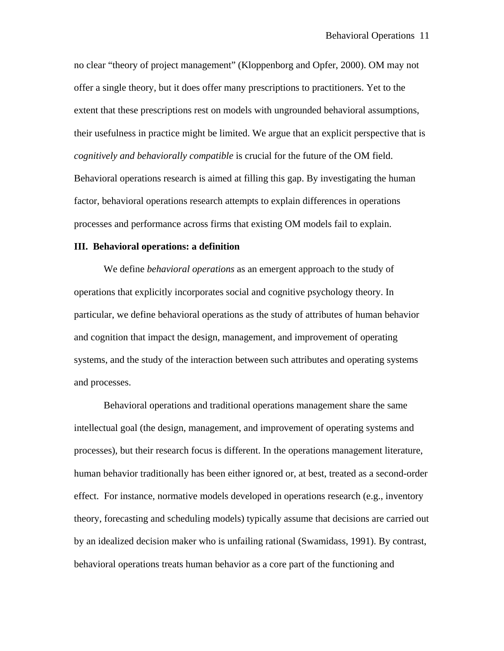no clear "theory of project management" (Kloppenborg and Opfer, 2000). OM may not offer a single theory, but it does offer many prescriptions to practitioners. Yet to the extent that these prescriptions rest on models with ungrounded behavioral assumptions, their usefulness in practice might be limited. We argue that an explicit perspective that is *cognitively and behaviorally compatible* is crucial for the future of the OM field. Behavioral operations research is aimed at filling this gap. By investigating the human factor, behavioral operations research attempts to explain differences in operations processes and performance across firms that existing OM models fail to explain.

# **III. Behavioral operations: a definition**

We define *behavioral operations* as an emergent approach to the study of operations that explicitly incorporates social and cognitive psychology theory. In particular, we define behavioral operations as the study of attributes of human behavior and cognition that impact the design, management, and improvement of operating systems, and the study of the interaction between such attributes and operating systems and processes.

Behavioral operations and traditional operations management share the same intellectual goal (the design, management, and improvement of operating systems and processes), but their research focus is different. In the operations management literature, human behavior traditionally has been either ignored or, at best, treated as a second-order effect. For instance, normative models developed in operations research (e.g., inventory theory, forecasting and scheduling models) typically assume that decisions are carried out by an idealized decision maker who is unfailing rational (Swamidass, 1991). By contrast, behavioral operations treats human behavior as a core part of the functioning and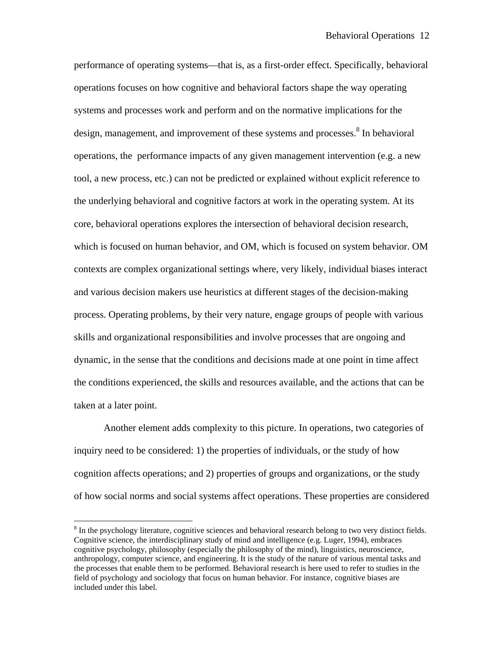performance of operating systems—that is, as a first-order effect. Specifically, behavioral operations focuses on how cognitive and behavioral factors shape the way operating systems and processes work and perform and on the normative implications for the design, management, and improvement of these systems and processes.<sup>8</sup> In behavioral operations, the performance impacts of any given management intervention (e.g. a new tool, a new process, etc.) can not be predicted or explained without explicit reference to the underlying behavioral and cognitive factors at work in the operating system. At its core, behavioral operations explores the intersection of behavioral decision research, which is focused on human behavior, and OM, which is focused on system behavior. OM contexts are complex organizational settings where, very likely, individual biases interact and various decision makers use heuristics at different stages of the decision-making process. Operating problems, by their very nature, engage groups of people with various skills and organizational responsibilities and involve processes that are ongoing and dynamic, in the sense that the conditions and decisions made at one point in time affect the conditions experienced, the skills and resources available, and the actions that can be taken at a later point.

Another element adds complexity to this picture. In operations, two categories of inquiry need to be considered: 1) the properties of individuals, or the study of how cognition affects operations; and 2) properties of groups and organizations, or the study of how social norms and social systems affect operations. These properties are considered

 $\overline{a}$ 

 $8 \text{ In the psychology literature, cognitive sciences and behavioral research belong to two very distinct fields.}$ Cognitive science, the interdisciplinary study of mind and intelligence (e.g. Luger, 1994), embraces cognitive psychology, philosophy (especially the philosophy of the mind), linguistics, neuroscience, anthropology, computer science, and engineering. It is the study of the nature of various mental tasks and the processes that enable them to be performed. Behavioral research is here used to refer to studies in the field of psychology and sociology that focus on human behavior. For instance, cognitive biases are included under this label.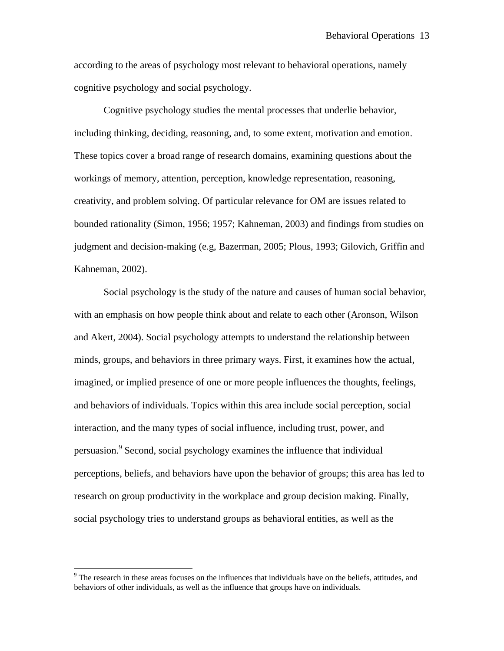according to the areas of psychology most relevant to behavioral operations, namely cognitive psychology and social psychology.

Cognitive psychology studies the mental processes that underlie behavior, including thinking, deciding, reasoning, and, to some extent, motivation and emotion. These topics cover a broad range of research domains, examining questions about the workings of memory, attention, perception, knowledge representation, reasoning, creativity, and problem solving. Of particular relevance for OM are issues related to bounded rationality (Simon, 1956; 1957; Kahneman, 2003) and findings from studies on judgment and decision-making (e.g, Bazerman, 2005; Plous, 1993; Gilovich, Griffin and Kahneman, 2002).

Social psychology is the study of the nature and causes of human social behavior, with an emphasis on how people think about and relate to each other (Aronson, Wilson and Akert, 2004). Social psychology attempts to understand the relationship between minds, groups, and behaviors in three primary ways. First, it examines how the actual, imagined, or implied presence of one or more people influences the thoughts, feelings, and behaviors of individuals. Topics within this area include social perception, social interaction, and the many types of social influence, including trust, power, and persuasion.<sup>9</sup> Second, social psychology examines the influence that individual perceptions, beliefs, and behaviors have upon the behavior of groups; this area has led to research on group productivity in the workplace and group decision making. Finally, social psychology tries to understand groups as behavioral entities, as well as the

 $\overline{a}$ 

<sup>&</sup>lt;sup>9</sup> The research in these areas focuses on the influences that individuals have on the beliefs, attitudes, and behaviors of other individuals, as well as the influence that groups have on individuals.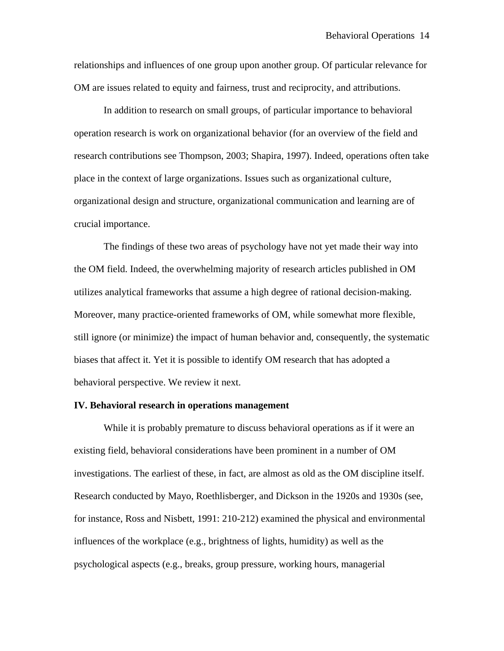relationships and influences of one group upon another group. Of particular relevance for OM are issues related to equity and fairness, trust and reciprocity, and attributions.

In addition to research on small groups, of particular importance to behavioral operation research is work on organizational behavior (for an overview of the field and research contributions see Thompson, 2003; Shapira, 1997). Indeed, operations often take place in the context of large organizations. Issues such as organizational culture, organizational design and structure, organizational communication and learning are of crucial importance.

 The findings of these two areas of psychology have not yet made their way into the OM field. Indeed, the overwhelming majority of research articles published in OM utilizes analytical frameworks that assume a high degree of rational decision-making. Moreover, many practice-oriented frameworks of OM, while somewhat more flexible, still ignore (or minimize) the impact of human behavior and, consequently, the systematic biases that affect it. Yet it is possible to identify OM research that has adopted a behavioral perspective. We review it next.

# **IV. Behavioral research in operations management**

While it is probably premature to discuss behavioral operations as if it were an existing field, behavioral considerations have been prominent in a number of OM investigations. The earliest of these, in fact, are almost as old as the OM discipline itself. Research conducted by Mayo, Roethlisberger, and Dickson in the 1920s and 1930s (see, for instance, Ross and Nisbett, 1991: 210-212) examined the physical and environmental influences of the workplace (e.g., brightness of lights, humidity) as well as the psychological aspects (e.g., breaks, group pressure, working hours, managerial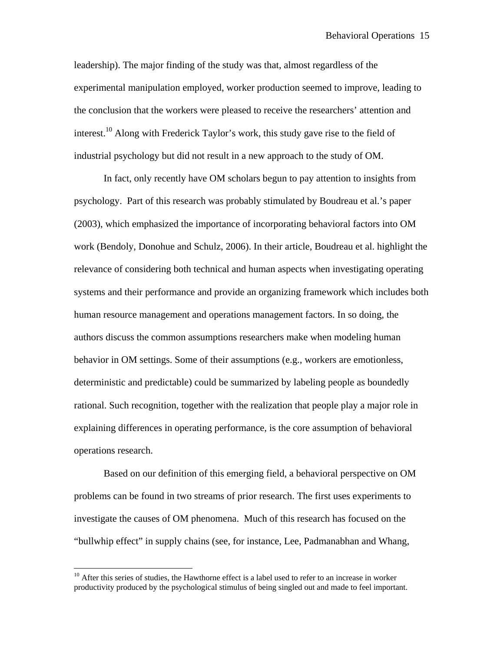leadership). The major finding of the study was that, almost regardless of the experimental manipulation employed, worker production seemed to improve, leading to the conclusion that the workers were pleased to receive the researchers' attention and interest.<sup>10</sup> Along with Frederick Taylor's work, this study gave rise to the field of industrial psychology but did not result in a new approach to the study of OM.

In fact, only recently have OM scholars begun to pay attention to insights from psychology. Part of this research was probably stimulated by Boudreau et al.'s paper (2003), which emphasized the importance of incorporating behavioral factors into OM work (Bendoly, Donohue and Schulz, 2006). In their article, Boudreau et al. highlight the relevance of considering both technical and human aspects when investigating operating systems and their performance and provide an organizing framework which includes both human resource management and operations management factors. In so doing, the authors discuss the common assumptions researchers make when modeling human behavior in OM settings. Some of their assumptions (e.g., workers are emotionless, deterministic and predictable) could be summarized by labeling people as boundedly rational. Such recognition, together with the realization that people play a major role in explaining differences in operating performance, is the core assumption of behavioral operations research.

Based on our definition of this emerging field, a behavioral perspective on OM problems can be found in two streams of prior research. The first uses experiments to investigate the causes of OM phenomena. Much of this research has focused on the "bullwhip effect" in supply chains (see, for instance, Lee, Padmanabhan and Whang,

 $\overline{a}$ 

 $10$  After this series of studies, the Hawthorne effect is a label used to refer to an increase in worker productivity produced by the psychological stimulus of being singled out and made to feel important.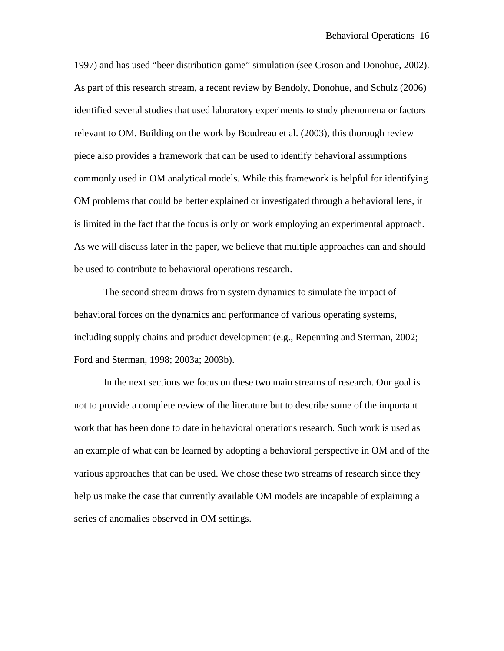1997) and has used "beer distribution game" simulation (see Croson and Donohue, 2002). As part of this research stream, a recent review by Bendoly, Donohue, and Schulz (2006) identified several studies that used laboratory experiments to study phenomena or factors relevant to OM. Building on the work by Boudreau et al. (2003), this thorough review piece also provides a framework that can be used to identify behavioral assumptions commonly used in OM analytical models. While this framework is helpful for identifying OM problems that could be better explained or investigated through a behavioral lens, it is limited in the fact that the focus is only on work employing an experimental approach. As we will discuss later in the paper, we believe that multiple approaches can and should be used to contribute to behavioral operations research.

The second stream draws from system dynamics to simulate the impact of behavioral forces on the dynamics and performance of various operating systems, including supply chains and product development (e.g., Repenning and Sterman, 2002; Ford and Sterman, 1998; 2003a; 2003b).

In the next sections we focus on these two main streams of research. Our goal is not to provide a complete review of the literature but to describe some of the important work that has been done to date in behavioral operations research. Such work is used as an example of what can be learned by adopting a behavioral perspective in OM and of the various approaches that can be used. We chose these two streams of research since they help us make the case that currently available OM models are incapable of explaining a series of anomalies observed in OM settings.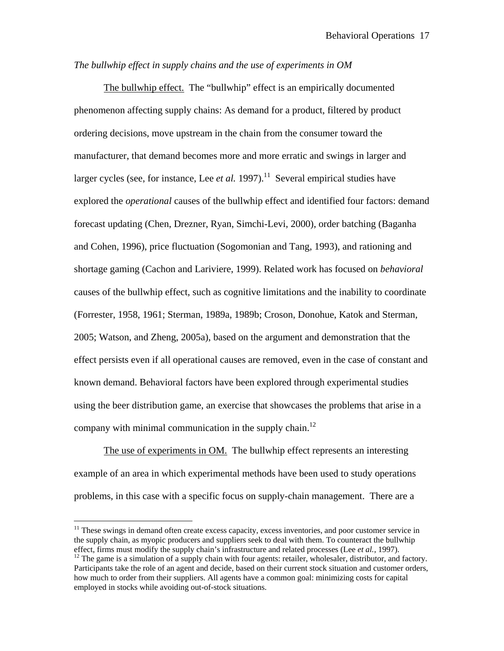# *The bullwhip effect in supply chains and the use of experiments in OM*

The bullwhip effect.The "bullwhip" effect is an empirically documented phenomenon affecting supply chains: As demand for a product, filtered by product ordering decisions, move upstream in the chain from the consumer toward the manufacturer, that demand becomes more and more erratic and swings in larger and larger cycles (see, for instance, Lee *et al.* 1997).<sup>11</sup> Several empirical studies have explored the *operational* causes of the bullwhip effect and identified four factors: demand forecast updating (Chen, Drezner, Ryan, Simchi-Levi, 2000), order batching (Baganha and Cohen, 1996), price fluctuation (Sogomonian and Tang, 1993), and rationing and shortage gaming (Cachon and Lariviere, 1999). Related work has focused on *behavioral* causes of the bullwhip effect, such as cognitive limitations and the inability to coordinate (Forrester, 1958, 1961; Sterman, 1989a, 1989b; Croson, Donohue, Katok and Sterman, 2005; Watson, and Zheng, 2005a), based on the argument and demonstration that the effect persists even if all operational causes are removed, even in the case of constant and known demand. Behavioral factors have been explored through experimental studies using the beer distribution game, an exercise that showcases the problems that arise in a company with minimal communication in the supply chain.<sup>12</sup>

The use of experiments in OM. The bullwhip effect represents an interesting example of an area in which experimental methods have been used to study operations problems, in this case with a specific focus on supply-chain management. There are a

 $\overline{a}$ 

 $11$  These swings in demand often create excess capacity, excess inventories, and poor customer service in the supply chain, as myopic producers and suppliers seek to deal with them. To counteract the bullwhip effect, firms must modify the supply chain's infrastructure and related processes (Lee *et al.*, 1997).<br><sup>12</sup> The game is a simulation of a supply chain with four agents: retailer, wholesaler, distributor, and factory.

Participants take the role of an agent and decide, based on their current stock situation and customer orders, how much to order from their suppliers. All agents have a common goal: minimizing costs for capital employed in stocks while avoiding out-of-stock situations.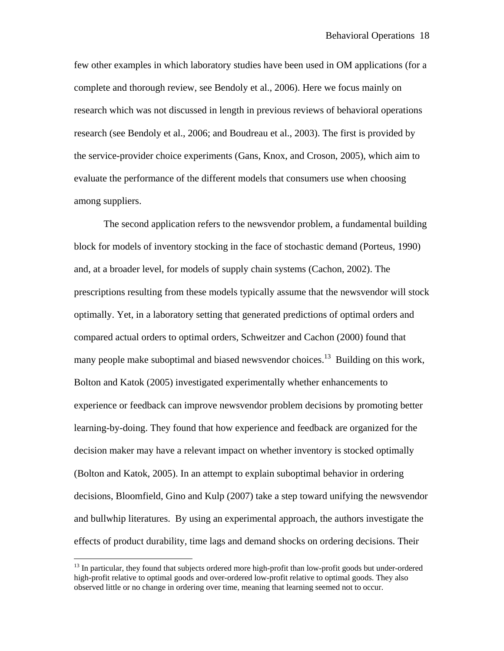few other examples in which laboratory studies have been used in OM applications (for a complete and thorough review, see Bendoly et al., 2006). Here we focus mainly on research which was not discussed in length in previous reviews of behavioral operations research (see Bendoly et al., 2006; and Boudreau et al., 2003). The first is provided by the service-provider choice experiments (Gans, Knox, and Croson, 2005), which aim to evaluate the performance of the different models that consumers use when choosing among suppliers.

The second application refers to the newsvendor problem, a fundamental building block for models of inventory stocking in the face of stochastic demand (Porteus, 1990) and, at a broader level, for models of supply chain systems (Cachon, 2002). The prescriptions resulting from these models typically assume that the newsvendor will stock optimally. Yet, in a laboratory setting that generated predictions of optimal orders and compared actual orders to optimal orders, Schweitzer and Cachon (2000) found that many people make suboptimal and biased newsvendor choices.<sup>13</sup> Building on this work, Bolton and Katok (2005) investigated experimentally whether enhancements to experience or feedback can improve newsvendor problem decisions by promoting better learning-by-doing. They found that how experience and feedback are organized for the decision maker may have a relevant impact on whether inventory is stocked optimally (Bolton and Katok, 2005). In an attempt to explain suboptimal behavior in ordering decisions, Bloomfield, Gino and Kulp (2007) take a step toward unifying the newsvendor and bullwhip literatures. By using an experimental approach, the authors investigate the effects of product durability, time lags and demand shocks on ordering decisions. Their

 $\overline{a}$ 

<sup>&</sup>lt;sup>13</sup> In particular, they found that subjects ordered more high-profit than low-profit goods but under-ordered high-profit relative to optimal goods and over-ordered low-profit relative to optimal goods. They also observed little or no change in ordering over time, meaning that learning seemed not to occur.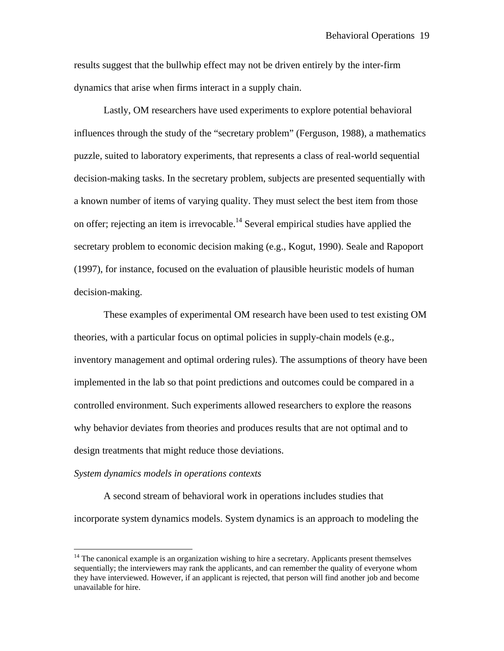results suggest that the bullwhip effect may not be driven entirely by the inter-firm dynamics that arise when firms interact in a supply chain.

Lastly, OM researchers have used experiments to explore potential behavioral influences through the study of the "secretary problem" (Ferguson, 1988), a mathematics puzzle, suited to laboratory experiments, that represents a class of real-world sequential decision-making tasks. In the secretary problem, subjects are presented sequentially with a known number of items of varying quality. They must select the best item from those on offer; rejecting an item is irrevocable.<sup>14</sup> Several empirical studies have applied the secretary problem to economic decision making (e.g., Kogut, 1990). Seale and Rapoport (1997), for instance, focused on the evaluation of plausible heuristic models of human decision-making.

These examples of experimental OM research have been used to test existing OM theories, with a particular focus on optimal policies in supply-chain models (e.g., inventory management and optimal ordering rules). The assumptions of theory have been implemented in the lab so that point predictions and outcomes could be compared in a controlled environment. Such experiments allowed researchers to explore the reasons why behavior deviates from theories and produces results that are not optimal and to design treatments that might reduce those deviations.

#### *System dynamics models in operations contexts*

 $\overline{a}$ 

 A second stream of behavioral work in operations includes studies that incorporate system dynamics models. System dynamics is an approach to modeling the

 $14$  The canonical example is an organization wishing to hire a secretary. Applicants present themselves sequentially; the interviewers may rank the applicants, and can remember the quality of everyone whom they have interviewed. However, if an applicant is rejected, that person will find another job and become unavailable for hire.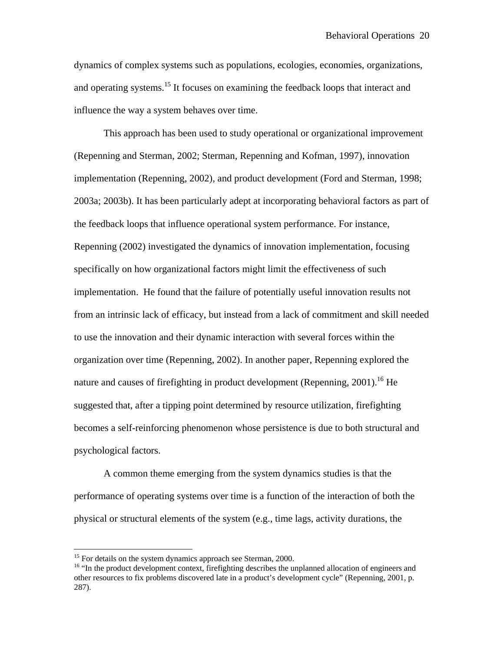dynamics of complex systems such as populations, ecologies, economies, organizations, and operating systems.<sup>15</sup> It focuses on examining the feedback loops that interact and influence the way a system behaves over time.

This approach has been used to study operational or organizational improvement (Repenning and Sterman, 2002; Sterman, Repenning and Kofman, 1997), innovation implementation (Repenning, 2002), and product development (Ford and Sterman, 1998; 2003a; 2003b). It has been particularly adept at incorporating behavioral factors as part of the feedback loops that influence operational system performance. For instance, Repenning (2002) investigated the dynamics of innovation implementation, focusing specifically on how organizational factors might limit the effectiveness of such implementation. He found that the failure of potentially useful innovation results not from an intrinsic lack of efficacy, but instead from a lack of commitment and skill needed to use the innovation and their dynamic interaction with several forces within the organization over time (Repenning, 2002). In another paper, Repenning explored the nature and causes of firefighting in product development (Repenning, 2001).<sup>16</sup> He suggested that, after a tipping point determined by resource utilization, firefighting becomes a self-reinforcing phenomenon whose persistence is due to both structural and psychological factors.

A common theme emerging from the system dynamics studies is that the performance of operating systems over time is a function of the interaction of both the physical or structural elements of the system (e.g., time lags, activity durations, the

 $\overline{a}$ 

 $15$  For details on the system dynamics approach see Sterman, 2000.

<sup>&</sup>lt;sup>16</sup> "In the product development context, firefighting describes the unplanned allocation of engineers and other resources to fix problems discovered late in a product's development cycle" (Repenning, 2001, p. 287).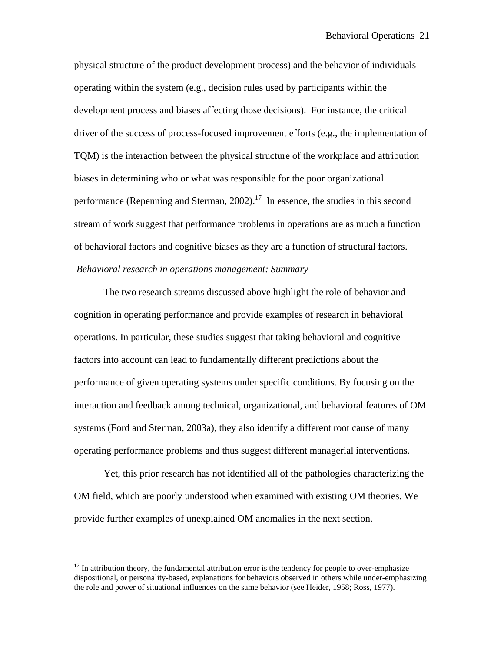physical structure of the product development process) and the behavior of individuals operating within the system (e.g., decision rules used by participants within the development process and biases affecting those decisions). For instance, the critical driver of the success of process-focused improvement efforts (e.g., the implementation of TQM) is the interaction between the physical structure of the workplace and attribution biases in determining who or what was responsible for the poor organizational performance (Repenning and Sterman,  $2002$ ).<sup>17</sup> In essence, the studies in this second stream of work suggest that performance problems in operations are as much a function of behavioral factors and cognitive biases as they are a function of structural factors. *Behavioral research in operations management: Summary*

The two research streams discussed above highlight the role of behavior and cognition in operating performance and provide examples of research in behavioral operations. In particular, these studies suggest that taking behavioral and cognitive factors into account can lead to fundamentally different predictions about the performance of given operating systems under specific conditions. By focusing on the interaction and feedback among technical, organizational, and behavioral features of OM systems (Ford and Sterman, 2003a), they also identify a different root cause of many operating performance problems and thus suggest different managerial interventions.

Yet, this prior research has not identified all of the pathologies characterizing the OM field, which are poorly understood when examined with existing OM theories. We provide further examples of unexplained OM anomalies in the next section.

 $\overline{a}$ 

 $17$  In attribution theory, the fundamental attribution error is the tendency for people to over-emphasize dispositional, or personality-based, explanations for behaviors observed in others while under-emphasizing the role and power of situational influences on the same behavior (see Heider, 1958; Ross, 1977).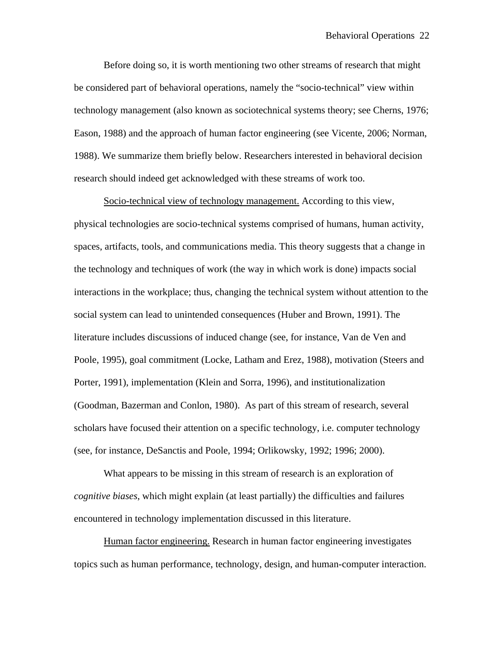Before doing so, it is worth mentioning two other streams of research that might be considered part of behavioral operations, namely the "socio-technical" view within technology management (also known as sociotechnical systems theory; see Cherns, 1976; Eason, 1988) and the approach of human factor engineering (see Vicente, 2006; Norman, 1988). We summarize them briefly below. Researchers interested in behavioral decision research should indeed get acknowledged with these streams of work too.

Socio-technical view of technology management. According to this view, physical technologies are socio-technical systems comprised of humans, human activity, spaces, artifacts, tools, and communications media. This theory suggests that a change in the technology and techniques of work (the way in which work is done) impacts social interactions in the workplace; thus, changing the technical system without attention to the social system can lead to unintended consequences (Huber and Brown, 1991). The literature includes discussions of induced change (see, for instance, Van de Ven and Poole, 1995), goal commitment (Locke, Latham and Erez, 1988), motivation (Steers and Porter, 1991), implementation (Klein and Sorra, 1996), and institutionalization (Goodman, Bazerman and Conlon, 1980). As part of this stream of research, several scholars have focused their attention on a specific technology, i.e. computer technology (see, for instance, DeSanctis and Poole, 1994; Orlikowsky, 1992; 1996; 2000).

What appears to be missing in this stream of research is an exploration of *cognitive biases*, which might explain (at least partially) the difficulties and failures encountered in technology implementation discussed in this literature.

Human factor engineering. Research in human factor engineering investigates topics such as human performance, technology, design, and human-computer interaction.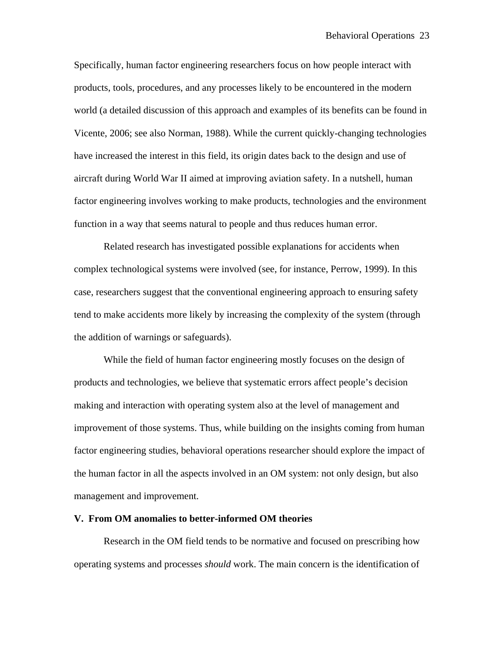Specifically, human factor engineering researchers focus on how people interact with products, tools, procedures, and any processes likely to be encountered in the modern world (a detailed discussion of this approach and examples of its benefits can be found in Vicente, 2006; see also Norman, 1988). While the current quickly-changing technologies have increased the interest in this field, its origin dates back to the design and use of aircraft during World War II aimed at improving aviation safety. In a nutshell, human factor engineering involves working to make products, technologies and the environment function in a way that seems natural to people and thus reduces human error.

Related research has investigated possible explanations for accidents when complex technological systems were involved (see, for instance, Perrow, 1999). In this case, researchers suggest that the conventional engineering approach to ensuring safety tend to make accidents more likely by increasing the complexity of the system (through the addition of warnings or safeguards).

 While the field of human factor engineering mostly focuses on the design of products and technologies, we believe that systematic errors affect people's decision making and interaction with operating system also at the level of management and improvement of those systems. Thus, while building on the insights coming from human factor engineering studies, behavioral operations researcher should explore the impact of the human factor in all the aspects involved in an OM system: not only design, but also management and improvement.

# **V. From OM anomalies to better-informed OM theories**

Research in the OM field tends to be normative and focused on prescribing how operating systems and processes *should* work. The main concern is the identification of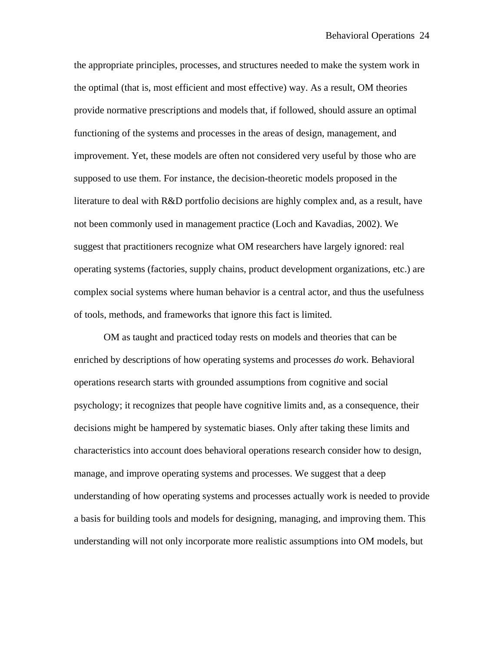the appropriate principles, processes, and structures needed to make the system work in the optimal (that is, most efficient and most effective) way. As a result, OM theories provide normative prescriptions and models that, if followed, should assure an optimal functioning of the systems and processes in the areas of design, management, and improvement. Yet, these models are often not considered very useful by those who are supposed to use them. For instance, the decision-theoretic models proposed in the literature to deal with R&D portfolio decisions are highly complex and, as a result, have not been commonly used in management practice (Loch and Kavadias, 2002). We suggest that practitioners recognize what OM researchers have largely ignored: real operating systems (factories, supply chains, product development organizations, etc.) are complex social systems where human behavior is a central actor, and thus the usefulness of tools, methods, and frameworks that ignore this fact is limited.

OM as taught and practiced today rests on models and theories that can be enriched by descriptions of how operating systems and processes *do* work. Behavioral operations research starts with grounded assumptions from cognitive and social psychology; it recognizes that people have cognitive limits and, as a consequence, their decisions might be hampered by systematic biases. Only after taking these limits and characteristics into account does behavioral operations research consider how to design, manage, and improve operating systems and processes. We suggest that a deep understanding of how operating systems and processes actually work is needed to provide a basis for building tools and models for designing, managing, and improving them. This understanding will not only incorporate more realistic assumptions into OM models, but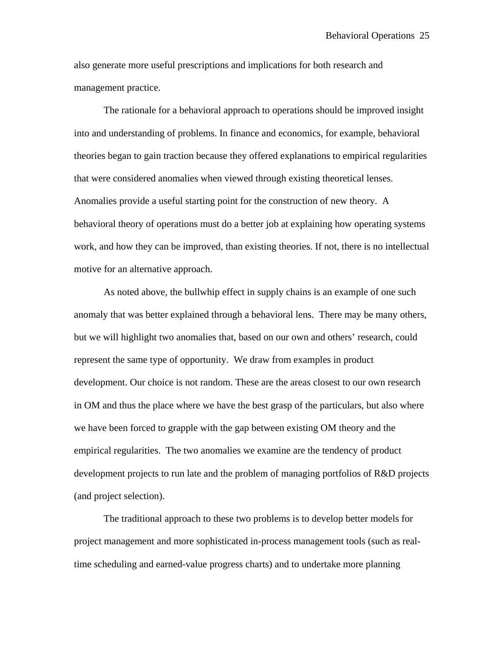also generate more useful prescriptions and implications for both research and management practice.

 The rationale for a behavioral approach to operations should be improved insight into and understanding of problems. In finance and economics, for example, behavioral theories began to gain traction because they offered explanations to empirical regularities that were considered anomalies when viewed through existing theoretical lenses. Anomalies provide a useful starting point for the construction of new theory. A behavioral theory of operations must do a better job at explaining how operating systems work, and how they can be improved, than existing theories. If not, there is no intellectual motive for an alternative approach.

As noted above, the bullwhip effect in supply chains is an example of one such anomaly that was better explained through a behavioral lens. There may be many others, but we will highlight two anomalies that, based on our own and others' research, could represent the same type of opportunity. We draw from examples in product development. Our choice is not random. These are the areas closest to our own research in OM and thus the place where we have the best grasp of the particulars, but also where we have been forced to grapple with the gap between existing OM theory and the empirical regularities. The two anomalies we examine are the tendency of product development projects to run late and the problem of managing portfolios of R&D projects (and project selection).

The traditional approach to these two problems is to develop better models for project management and more sophisticated in-process management tools (such as realtime scheduling and earned-value progress charts) and to undertake more planning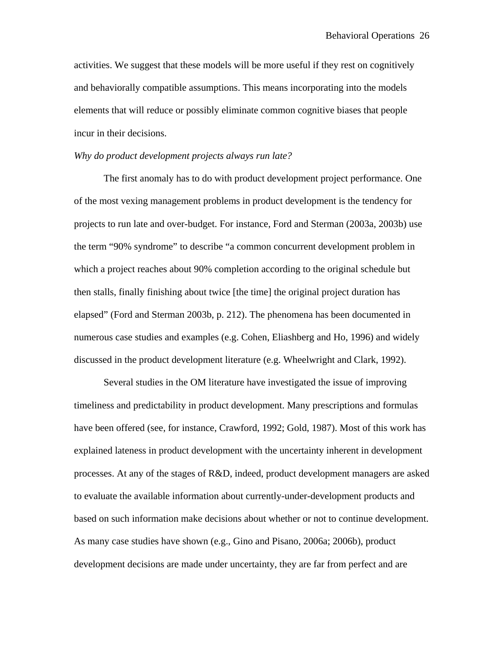activities. We suggest that these models will be more useful if they rest on cognitively and behaviorally compatible assumptions. This means incorporating into the models elements that will reduce or possibly eliminate common cognitive biases that people incur in their decisions.

### *Why do product development projects always run late?*

The first anomaly has to do with product development project performance. One of the most vexing management problems in product development is the tendency for projects to run late and over-budget. For instance, Ford and Sterman (2003a, 2003b) use the term "90% syndrome" to describe "a common concurrent development problem in which a project reaches about 90% completion according to the original schedule but then stalls, finally finishing about twice [the time] the original project duration has elapsed" (Ford and Sterman 2003b, p. 212). The phenomena has been documented in numerous case studies and examples (e.g. Cohen, Eliashberg and Ho, 1996) and widely discussed in the product development literature (e.g. Wheelwright and Clark, 1992).

Several studies in the OM literature have investigated the issue of improving timeliness and predictability in product development. Many prescriptions and formulas have been offered (see, for instance, Crawford, 1992; Gold, 1987). Most of this work has explained lateness in product development with the uncertainty inherent in development processes. At any of the stages of R&D, indeed, product development managers are asked to evaluate the available information about currently-under-development products and based on such information make decisions about whether or not to continue development. As many case studies have shown (e.g., Gino and Pisano, 2006a; 2006b), product development decisions are made under uncertainty, they are far from perfect and are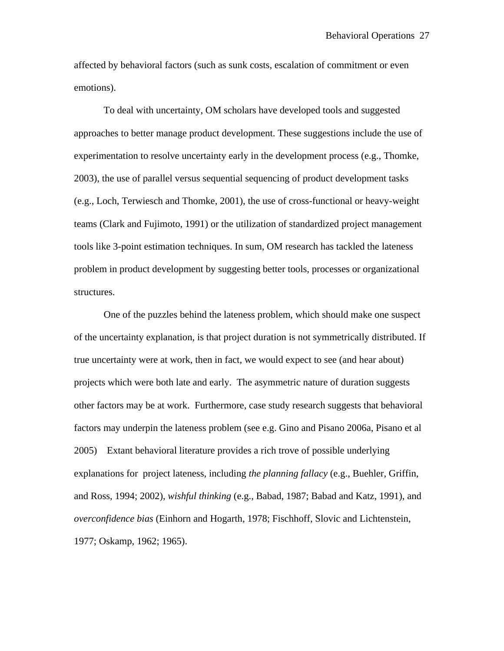affected by behavioral factors (such as sunk costs, escalation of commitment or even emotions).

To deal with uncertainty, OM scholars have developed tools and suggested approaches to better manage product development. These suggestions include the use of experimentation to resolve uncertainty early in the development process (e.g., Thomke, 2003), the use of parallel versus sequential sequencing of product development tasks (e.g., Loch, Terwiesch and Thomke, 2001), the use of cross-functional or heavy-weight teams (Clark and Fujimoto, 1991) or the utilization of standardized project management tools like 3-point estimation techniques. In sum, OM research has tackled the lateness problem in product development by suggesting better tools, processes or organizational structures.

One of the puzzles behind the lateness problem, which should make one suspect of the uncertainty explanation, is that project duration is not symmetrically distributed. If true uncertainty were at work, then in fact, we would expect to see (and hear about) projects which were both late and early. The asymmetric nature of duration suggests other factors may be at work. Furthermore, case study research suggests that behavioral factors may underpin the lateness problem (see e.g. Gino and Pisano 2006a, Pisano et al 2005) Extant behavioral literature provides a rich trove of possible underlying explanations for project lateness, including *the planning fallacy* (e.g., Buehler, Griffin, and Ross, 1994; 2002), *wishful thinking* (e.g., Babad, 1987; Babad and Katz, 1991), and *overconfidence bias* (Einhorn and Hogarth, 1978; Fischhoff, Slovic and Lichtenstein, 1977; Oskamp, 1962; 1965).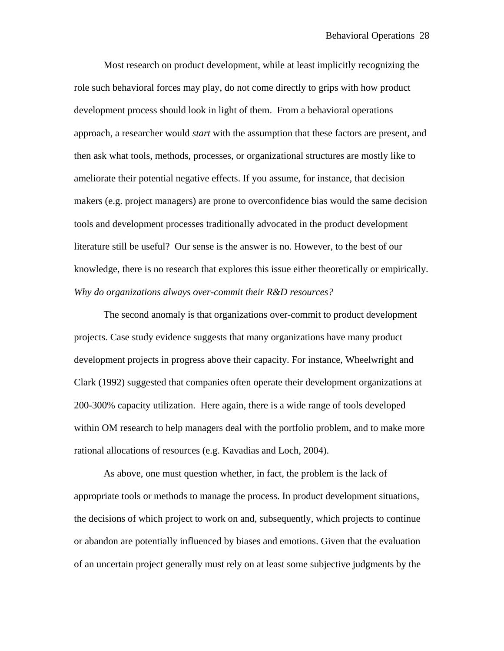Most research on product development, while at least implicitly recognizing the role such behavioral forces may play, do not come directly to grips with how product development process should look in light of them. From a behavioral operations approach, a researcher would *start* with the assumption that these factors are present, and then ask what tools, methods, processes, or organizational structures are mostly like to ameliorate their potential negative effects. If you assume, for instance, that decision makers (e.g. project managers) are prone to overconfidence bias would the same decision tools and development processes traditionally advocated in the product development literature still be useful? Our sense is the answer is no. However, to the best of our knowledge, there is no research that explores this issue either theoretically or empirically. *Why do organizations always over-commit their R&D resources?* 

The second anomaly is that organizations over-commit to product development projects. Case study evidence suggests that many organizations have many product development projects in progress above their capacity. For instance, Wheelwright and Clark (1992) suggested that companies often operate their development organizations at 200-300% capacity utilization. Here again, there is a wide range of tools developed within OM research to help managers deal with the portfolio problem, and to make more rational allocations of resources (e.g. Kavadias and Loch, 2004).

As above, one must question whether, in fact, the problem is the lack of appropriate tools or methods to manage the process. In product development situations, the decisions of which project to work on and, subsequently, which projects to continue or abandon are potentially influenced by biases and emotions. Given that the evaluation of an uncertain project generally must rely on at least some subjective judgments by the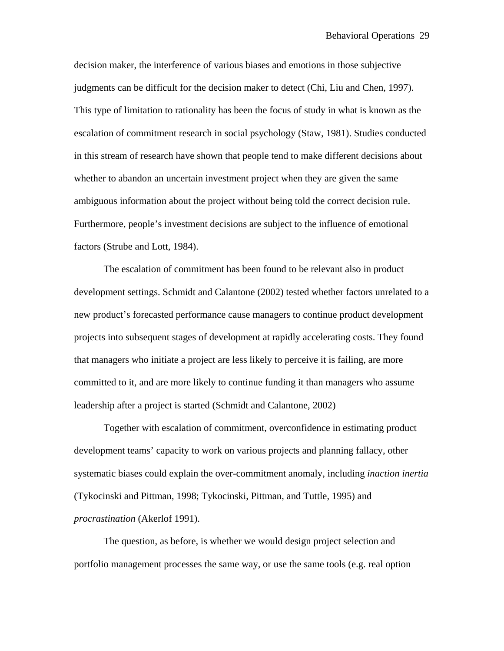decision maker, the interference of various biases and emotions in those subjective judgments can be difficult for the decision maker to detect (Chi, Liu and Chen, 1997). This type of limitation to rationality has been the focus of study in what is known as the escalation of commitment research in social psychology (Staw, 1981). Studies conducted in this stream of research have shown that people tend to make different decisions about whether to abandon an uncertain investment project when they are given the same ambiguous information about the project without being told the correct decision rule. Furthermore, people's investment decisions are subject to the influence of emotional factors (Strube and Lott, 1984).

The escalation of commitment has been found to be relevant also in product development settings. Schmidt and Calantone (2002) tested whether factors unrelated to a new product's forecasted performance cause managers to continue product development projects into subsequent stages of development at rapidly accelerating costs. They found that managers who initiate a project are less likely to perceive it is failing, are more committed to it, and are more likely to continue funding it than managers who assume leadership after a project is started (Schmidt and Calantone, 2002)

Together with escalation of commitment, overconfidence in estimating product development teams' capacity to work on various projects and planning fallacy, other systematic biases could explain the over-commitment anomaly, including *inaction inertia*  (Tykocinski and Pittman, 1998; Tykocinski, Pittman, and Tuttle, 1995) and *procrastination* (Akerlof 1991).

The question, as before, is whether we would design project selection and portfolio management processes the same way, or use the same tools (e.g. real option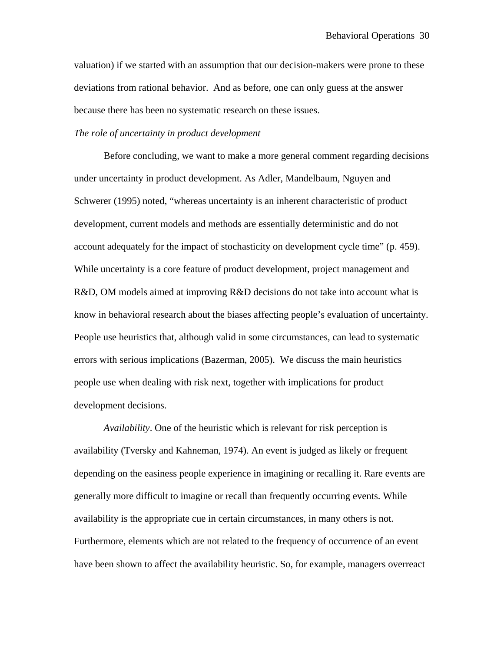valuation) if we started with an assumption that our decision-makers were prone to these deviations from rational behavior. And as before, one can only guess at the answer because there has been no systematic research on these issues.

### *The role of uncertainty in product development*

Before concluding, we want to make a more general comment regarding decisions under uncertainty in product development. As Adler, Mandelbaum, Nguyen and Schwerer (1995) noted, "whereas uncertainty is an inherent characteristic of product development, current models and methods are essentially deterministic and do not account adequately for the impact of stochasticity on development cycle time" (p. 459). While uncertainty is a core feature of product development, project management and R&D, OM models aimed at improving R&D decisions do not take into account what is know in behavioral research about the biases affecting people's evaluation of uncertainty. People use heuristics that, although valid in some circumstances, can lead to systematic errors with serious implications (Bazerman, 2005). We discuss the main heuristics people use when dealing with risk next, together with implications for product development decisions.

*Availability*. One of the heuristic which is relevant for risk perception is availability (Tversky and Kahneman, 1974). An event is judged as likely or frequent depending on the easiness people experience in imagining or recalling it. Rare events are generally more difficult to imagine or recall than frequently occurring events. While availability is the appropriate cue in certain circumstances, in many others is not. Furthermore, elements which are not related to the frequency of occurrence of an event have been shown to affect the availability heuristic. So, for example, managers overreact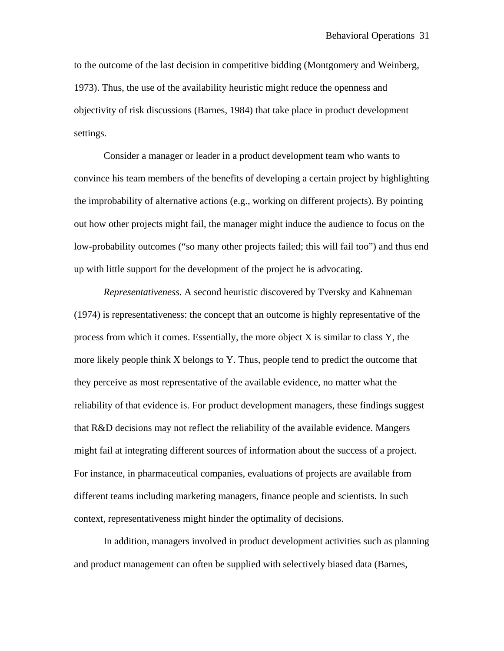to the outcome of the last decision in competitive bidding (Montgomery and Weinberg, 1973). Thus, the use of the availability heuristic might reduce the openness and objectivity of risk discussions (Barnes, 1984) that take place in product development settings.

Consider a manager or leader in a product development team who wants to convince his team members of the benefits of developing a certain project by highlighting the improbability of alternative actions (e.g., working on different projects). By pointing out how other projects might fail, the manager might induce the audience to focus on the low-probability outcomes ("so many other projects failed; this will fail too") and thus end up with little support for the development of the project he is advocating.

*Representativeness*. A second heuristic discovered by Tversky and Kahneman (1974) is representativeness: the concept that an outcome is highly representative of the process from which it comes. Essentially, the more object X is similar to class Y, the more likely people think X belongs to Y. Thus, people tend to predict the outcome that they perceive as most representative of the available evidence, no matter what the reliability of that evidence is. For product development managers, these findings suggest that R&D decisions may not reflect the reliability of the available evidence. Mangers might fail at integrating different sources of information about the success of a project. For instance, in pharmaceutical companies, evaluations of projects are available from different teams including marketing managers, finance people and scientists. In such context, representativeness might hinder the optimality of decisions.

In addition, managers involved in product development activities such as planning and product management can often be supplied with selectively biased data (Barnes,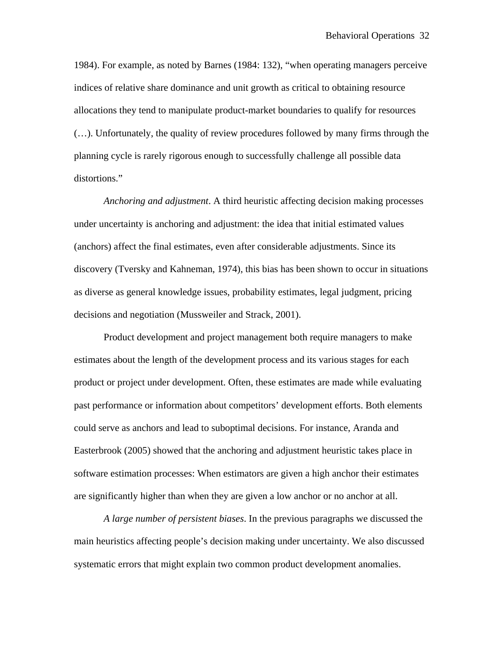1984). For example, as noted by Barnes (1984: 132), "when operating managers perceive indices of relative share dominance and unit growth as critical to obtaining resource allocations they tend to manipulate product-market boundaries to qualify for resources (…). Unfortunately, the quality of review procedures followed by many firms through the planning cycle is rarely rigorous enough to successfully challenge all possible data distortions."

*Anchoring and adjustment*. A third heuristic affecting decision making processes under uncertainty is anchoring and adjustment: the idea that initial estimated values (anchors) affect the final estimates, even after considerable adjustments. Since its discovery (Tversky and Kahneman, 1974), this bias has been shown to occur in situations as diverse as general knowledge issues, probability estimates, legal judgment, pricing decisions and negotiation (Mussweiler and Strack, 2001).

Product development and project management both require managers to make estimates about the length of the development process and its various stages for each product or project under development. Often, these estimates are made while evaluating past performance or information about competitors' development efforts. Both elements could serve as anchors and lead to suboptimal decisions. For instance, Aranda and Easterbrook (2005) showed that the anchoring and adjustment heuristic takes place in software estimation processes: When estimators are given a high anchor their estimates are significantly higher than when they are given a low anchor or no anchor at all.

*A large number of persistent biases*. In the previous paragraphs we discussed the main heuristics affecting people's decision making under uncertainty. We also discussed systematic errors that might explain two common product development anomalies.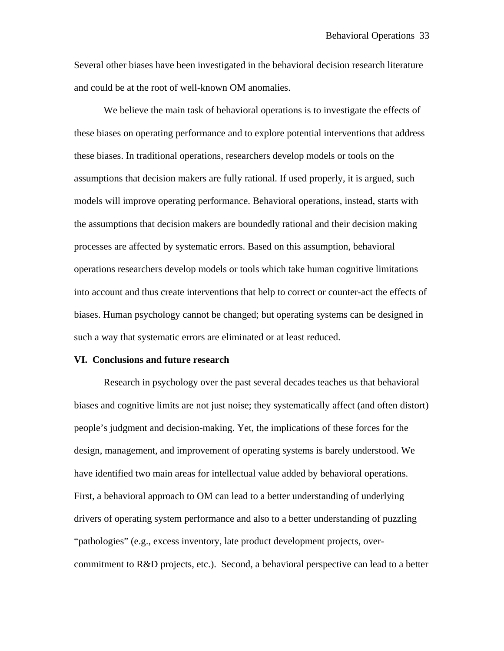Several other biases have been investigated in the behavioral decision research literature and could be at the root of well-known OM anomalies.

We believe the main task of behavioral operations is to investigate the effects of these biases on operating performance and to explore potential interventions that address these biases. In traditional operations, researchers develop models or tools on the assumptions that decision makers are fully rational. If used properly, it is argued, such models will improve operating performance. Behavioral operations, instead, starts with the assumptions that decision makers are boundedly rational and their decision making processes are affected by systematic errors. Based on this assumption, behavioral operations researchers develop models or tools which take human cognitive limitations into account and thus create interventions that help to correct or counter-act the effects of biases. Human psychology cannot be changed; but operating systems can be designed in such a way that systematic errors are eliminated or at least reduced.

### **VI. Conclusions and future research**

Research in psychology over the past several decades teaches us that behavioral biases and cognitive limits are not just noise; they systematically affect (and often distort) people's judgment and decision-making. Yet, the implications of these forces for the design, management, and improvement of operating systems is barely understood. We have identified two main areas for intellectual value added by behavioral operations. First, a behavioral approach to OM can lead to a better understanding of underlying drivers of operating system performance and also to a better understanding of puzzling "pathologies" (e.g., excess inventory, late product development projects, overcommitment to R&D projects, etc.). Second, a behavioral perspective can lead to a better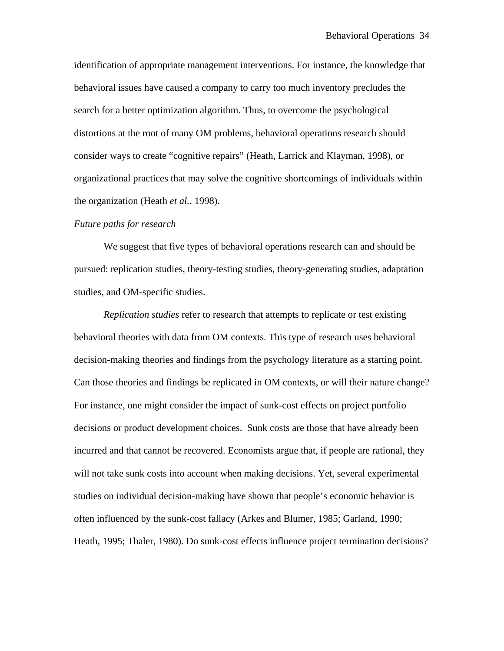identification of appropriate management interventions. For instance, the knowledge that behavioral issues have caused a company to carry too much inventory precludes the search for a better optimization algorithm. Thus, to overcome the psychological distortions at the root of many OM problems, behavioral operations research should consider ways to create "cognitive repairs" (Heath, Larrick and Klayman, 1998), or organizational practices that may solve the cognitive shortcomings of individuals within the organization (Heath *et al.*, 1998).

#### *Future paths for research*

We suggest that five types of behavioral operations research can and should be pursued: replication studies, theory-testing studies, theory-generating studies, adaptation studies, and OM-specific studies.

*Replication studies* refer to research that attempts to replicate or test existing behavioral theories with data from OM contexts. This type of research uses behavioral decision-making theories and findings from the psychology literature as a starting point. Can those theories and findings be replicated in OM contexts, or will their nature change? For instance, one might consider the impact of sunk-cost effects on project portfolio decisions or product development choices. Sunk costs are those that have already been incurred and that cannot be recovered. Economists argue that, if people are rational, they will not take sunk costs into account when making decisions. Yet, several experimental studies on individual decision-making have shown that people's economic behavior is often influenced by the sunk-cost fallacy (Arkes and Blumer, 1985; Garland, 1990; Heath, 1995; Thaler, 1980). Do sunk-cost effects influence project termination decisions?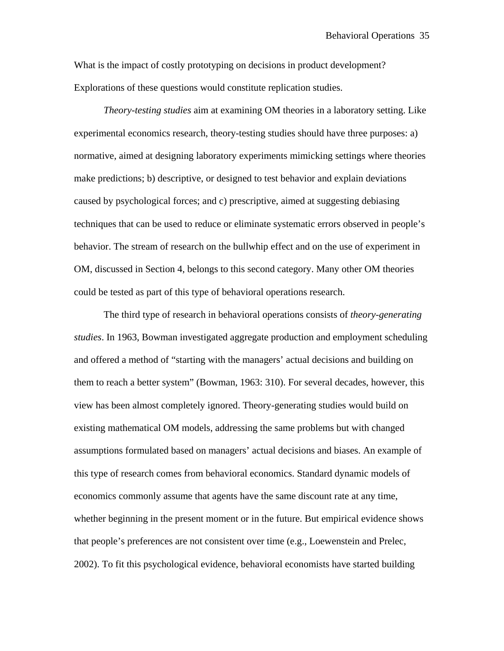What is the impact of costly prototyping on decisions in product development? Explorations of these questions would constitute replication studies.

*Theory-testing studies* aim at examining OM theories in a laboratory setting. Like experimental economics research, theory-testing studies should have three purposes: a) normative, aimed at designing laboratory experiments mimicking settings where theories make predictions; b) descriptive, or designed to test behavior and explain deviations caused by psychological forces; and c) prescriptive, aimed at suggesting debiasing techniques that can be used to reduce or eliminate systematic errors observed in people's behavior. The stream of research on the bullwhip effect and on the use of experiment in OM, discussed in Section 4, belongs to this second category. Many other OM theories could be tested as part of this type of behavioral operations research.

The third type of research in behavioral operations consists of *theory-generating studies*. In 1963, Bowman investigated aggregate production and employment scheduling and offered a method of "starting with the managers' actual decisions and building on them to reach a better system" (Bowman, 1963: 310). For several decades, however, this view has been almost completely ignored. Theory-generating studies would build on existing mathematical OM models, addressing the same problems but with changed assumptions formulated based on managers' actual decisions and biases. An example of this type of research comes from behavioral economics. Standard dynamic models of economics commonly assume that agents have the same discount rate at any time, whether beginning in the present moment or in the future. But empirical evidence shows that people's preferences are not consistent over time (e.g., Loewenstein and Prelec, 2002). To fit this psychological evidence, behavioral economists have started building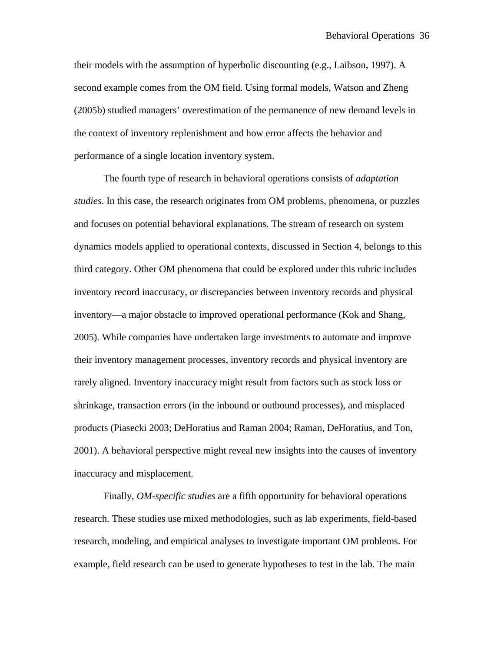their models with the assumption of hyperbolic discounting (e.g., Laibson, 1997). A second example comes from the OM field. Using formal models, Watson and Zheng (2005b) studied managers' overestimation of the permanence of new demand levels in the context of inventory replenishment and how error affects the behavior and performance of a single location inventory system.

The fourth type of research in behavioral operations consists of *adaptation studies*. In this case, the research originates from OM problems, phenomena, or puzzles and focuses on potential behavioral explanations. The stream of research on system dynamics models applied to operational contexts, discussed in Section 4, belongs to this third category. Other OM phenomena that could be explored under this rubric includes inventory record inaccuracy, or discrepancies between inventory records and physical inventory—a major obstacle to improved operational performance (Kok and Shang, 2005). While companies have undertaken large investments to automate and improve their inventory management processes, inventory records and physical inventory are rarely aligned. Inventory inaccuracy might result from factors such as stock loss or shrinkage, transaction errors (in the inbound or outbound processes), and misplaced products (Piasecki 2003; DeHoratius and Raman 2004; Raman, DeHoratius, and Ton, 2001). A behavioral perspective might reveal new insights into the causes of inventory inaccuracy and misplacement.

 Finally, *OM-specific studies* are a fifth opportunity for behavioral operations research. These studies use mixed methodologies, such as lab experiments, field-based research, modeling, and empirical analyses to investigate important OM problems. For example, field research can be used to generate hypotheses to test in the lab. The main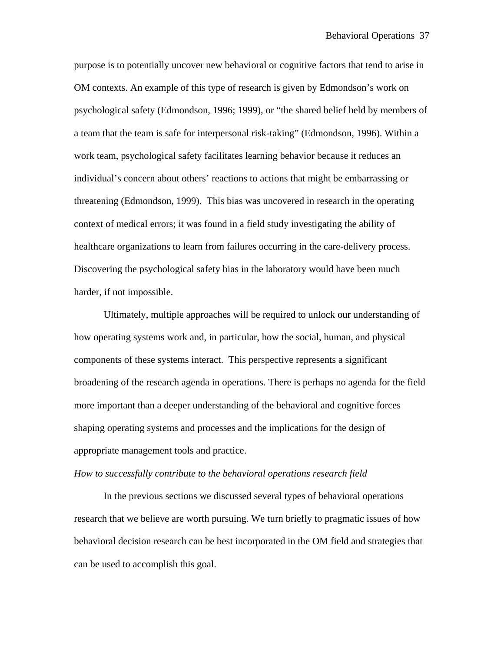purpose is to potentially uncover new behavioral or cognitive factors that tend to arise in OM contexts. An example of this type of research is given by Edmondson's work on psychological safety (Edmondson, 1996; 1999), or "the shared belief held by members of a team that the team is safe for interpersonal risk-taking" (Edmondson, 1996). Within a work team, psychological safety facilitates learning behavior because it reduces an individual's concern about others' reactions to actions that might be embarrassing or threatening (Edmondson, 1999). This bias was uncovered in research in the operating context of medical errors; it was found in a field study investigating the ability of healthcare organizations to learn from failures occurring in the care-delivery process. Discovering the psychological safety bias in the laboratory would have been much harder, if not impossible.

 Ultimately, multiple approaches will be required to unlock our understanding of how operating systems work and, in particular, how the social, human, and physical components of these systems interact. This perspective represents a significant broadening of the research agenda in operations. There is perhaps no agenda for the field more important than a deeper understanding of the behavioral and cognitive forces shaping operating systems and processes and the implications for the design of appropriate management tools and practice.

#### *How to successfully contribute to the behavioral operations research field*

 In the previous sections we discussed several types of behavioral operations research that we believe are worth pursuing. We turn briefly to pragmatic issues of how behavioral decision research can be best incorporated in the OM field and strategies that can be used to accomplish this goal.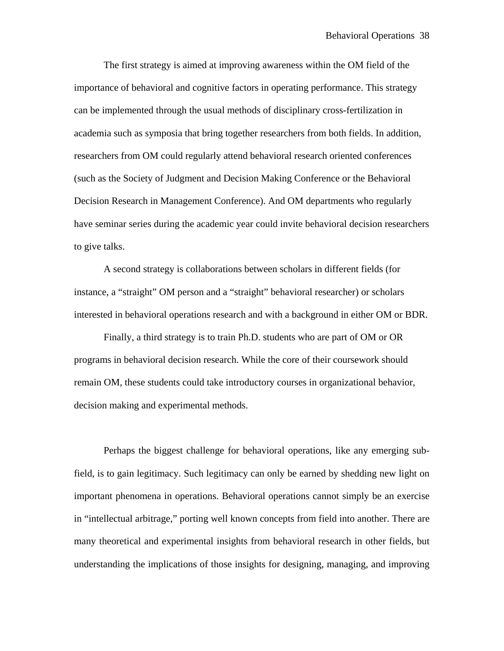The first strategy is aimed at improving awareness within the OM field of the importance of behavioral and cognitive factors in operating performance. This strategy can be implemented through the usual methods of disciplinary cross-fertilization in academia such as symposia that bring together researchers from both fields. In addition, researchers from OM could regularly attend behavioral research oriented conferences (such as the Society of Judgment and Decision Making Conference or the Behavioral Decision Research in Management Conference). And OM departments who regularly have seminar series during the academic year could invite behavioral decision researchers to give talks.

 A second strategy is collaborations between scholars in different fields (for instance, a "straight" OM person and a "straight" behavioral researcher) or scholars interested in behavioral operations research and with a background in either OM or BDR.

Finally, a third strategy is to train Ph.D. students who are part of OM or OR programs in behavioral decision research. While the core of their coursework should remain OM, these students could take introductory courses in organizational behavior, decision making and experimental methods.

Perhaps the biggest challenge for behavioral operations, like any emerging subfield, is to gain legitimacy. Such legitimacy can only be earned by shedding new light on important phenomena in operations. Behavioral operations cannot simply be an exercise in "intellectual arbitrage," porting well known concepts from field into another. There are many theoretical and experimental insights from behavioral research in other fields, but understanding the implications of those insights for designing, managing, and improving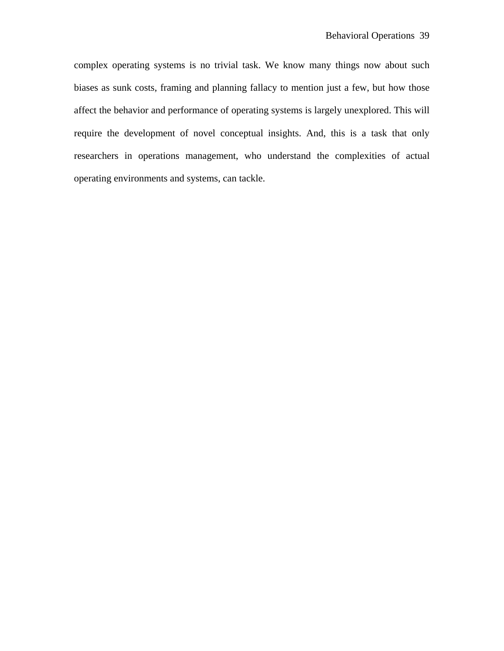complex operating systems is no trivial task. We know many things now about such biases as sunk costs, framing and planning fallacy to mention just a few, but how those affect the behavior and performance of operating systems is largely unexplored. This will require the development of novel conceptual insights. And, this is a task that only researchers in operations management, who understand the complexities of actual operating environments and systems, can tackle.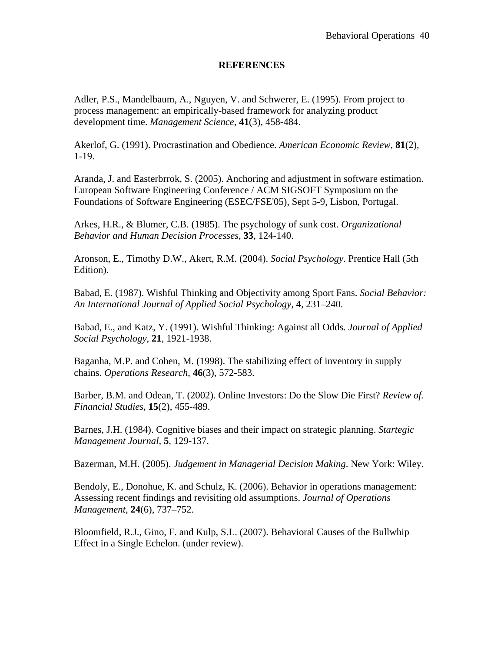# **REFERENCES**

Adler, P.S., Mandelbaum, A., Nguyen, V. and Schwerer, E. (1995). From project to process management: an empirically-based framework for analyzing product development time. *Management Science*, **41**(3), 458-484.

Akerlof, G. (1991). Procrastination and Obedience. *American Economic Review*, **81**(2), 1-19.

Aranda, J. and Easterbrrok, S. (2005). Anchoring and adjustment in software estimation. European Software Engineering Conference / ACM SIGSOFT Symposium on the Foundations of Software Engineering (ESEC/FSE'05), Sept 5-9, Lisbon, Portugal.

Arkes, H.R., & Blumer, C.B. (1985). The psychology of sunk cost. *Organizational Behavior and Human Decision Processes*, **33**, 124-140.

Aronson, E., Timothy D.W., Akert, R.M. (2004). *Social Psychology*. Prentice Hall (5th Edition).

Babad, E. (1987). Wishful Thinking and Objectivity among Sport Fans. *Social Behavior: An International Journal of Applied Social Psychology*, **4**, 231–240.

Babad, E., and Katz, Y. (1991). Wishful Thinking: Against all Odds. *Journal of Applied Social Psychology*, **21**, 1921-1938.

Baganha, M.P. and Cohen, M. (1998). The stabilizing effect of inventory in supply chains. *Operations Research*, **46**(3), 572-583.

Barber, B.M. and Odean, T. (2002). Online Investors: Do the Slow Die First? *Review of. Financial Studies*, **15**(2), 455-489.

Barnes, J.H. (1984). Cognitive biases and their impact on strategic planning. *Startegic Management Journal*, **5**, 129-137.

Bazerman, M.H. (2005). *Judgement in Managerial Decision Making*. New York: Wiley.

Bendoly, E., Donohue, K. and Schulz, K. (2006). Behavior in operations management: Assessing recent findings and revisiting old assumptions. *Journal of Operations Management*, **24**(6), 737–752.

Bloomfield, R.J., Gino, F. and Kulp, S.L. (2007). Behavioral Causes of the Bullwhip Effect in a Single Echelon. (under review).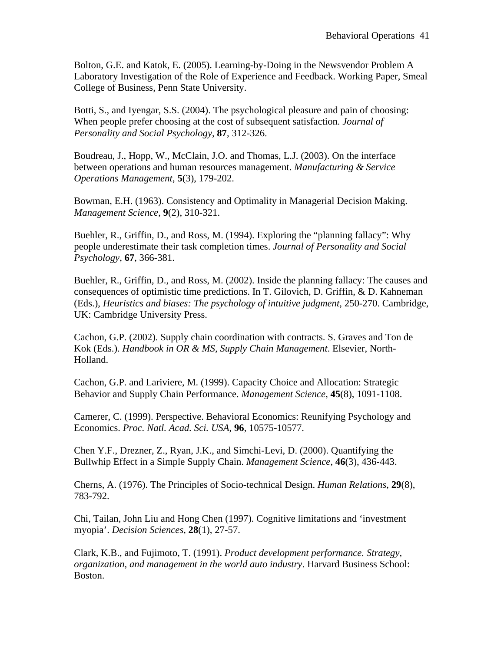Bolton, G.E. and Katok, E. (2005). Learning-by-Doing in the Newsvendor Problem A Laboratory Investigation of the Role of Experience and Feedback. Working Paper, Smeal College of Business, Penn State University.

Botti, S., and Iyengar, S.S. (2004). The psychological pleasure and pain of choosing: When people prefer choosing at the cost of subsequent satisfaction. *Journal of Personality and Social Psychology*, **87**, 312-326.

Boudreau, J., Hopp, W., McClain, J.O. and Thomas, L.J. (2003). On the interface between operations and human resources management. *Manufacturing & Service Operations Management*, **5**(3), 179-202.

Bowman, E.H. (1963). Consistency and Optimality in Managerial Decision Making. *Management Science*, **9**(2), 310-321.

Buehler, R., Griffin, D., and Ross, M. (1994). Exploring the "planning fallacy": Why people underestimate their task completion times. *Journal of Personality and Social Psychology*, **67**, 366-381.

Buehler, R., Griffin, D., and Ross, M. (2002). Inside the planning fallacy: The causes and consequences of optimistic time predictions. In T. Gilovich, D. Griffin, & D. Kahneman (Eds.), *Heuristics and biases: The psychology of intuitive judgment*, 250-270. Cambridge, UK: Cambridge University Press.

Cachon, G.P. (2002). Supply chain coordination with contracts. S. Graves and Ton de Kok (Eds.). *Handbook in OR & MS, Supply Chain Management*. Elsevier, North-Holland.

Cachon, G.P. and Lariviere, M. (1999). Capacity Choice and Allocation: Strategic Behavior and Supply Chain Performance. *Management Science*, **45**(8), 1091-1108.

Camerer, C. (1999). Perspective. Behavioral Economics: Reunifying Psychology and Economics. *Proc. Natl. Acad. Sci. USA*, **96**, 10575-10577.

Chen Y.F., Drezner, Z., Ryan, J.K., and Simchi-Levi, D. (2000). Quantifying the Bullwhip Effect in a Simple Supply Chain. *Management Science*, **46**(3), 436-443.

Cherns, A. (1976). The Principles of Socio-technical Design. *Human Relations*, **29**(8), 783-792.

Chi, Tailan, John Liu and Hong Chen (1997). Cognitive limitations and 'investment myopia'. *Decision Sciences*, **28**(1), 27-57.

Clark, K.B., and Fujimoto, T. (1991). *Product development performance. Strategy, organization, and management in the world auto industry*. Harvard Business School: Boston.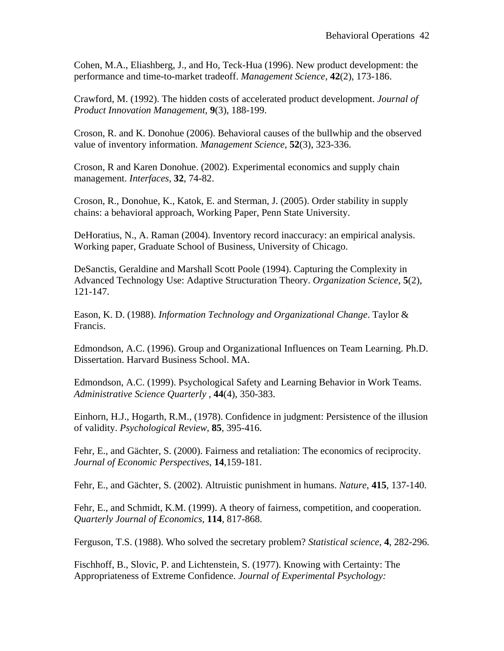Cohen, M.A., Eliashberg, J., and Ho, Teck-Hua (1996). New product development: the performance and time-to-market tradeoff. *Management Science*, **42**(2), 173-186.

Crawford, M. (1992). The hidden costs of accelerated product development. *Journal of Product Innovation Management*, **9**(3), 188-199.

Croson, R. and K. Donohue (2006). Behavioral causes of the bullwhip and the observed value of inventory information. *Management Science*, **52**(3), 323-336.

Croson, R and Karen Donohue. (2002). Experimental economics and supply chain management. *Interfaces,* **32**, 74-82.

Croson, R., Donohue, K., Katok, E. and Sterman, J. (2005). Order stability in supply chains: a behavioral approach, Working Paper, Penn State University.

DeHoratius, N., A. Raman (2004). Inventory record inaccuracy: an empirical analysis. Working paper, Graduate School of Business, University of Chicago.

DeSanctis, Geraldine and Marshall Scott Poole (1994). Capturing the Complexity in Advanced Technology Use: Adaptive Structuration Theory. *Organization Science*, **5**(2), 121-147.

Eason, K. D. (1988). *Information Technology and Organizational Change*. Taylor & Francis.

Edmondson, A.C. (1996). Group and Organizational Influences on Team Learning. Ph.D. Dissertation. Harvard Business School. MA.

Edmondson, A.C. (1999). Psychological Safety and Learning Behavior in Work Teams. *Administrative Science Quarterly* , **44**(4), 350-383.

Einhorn, H.J., Hogarth, R.M., (1978). Confidence in judgment: Persistence of the illusion of validity. *Psychological Review*, **85**, 395-416.

Fehr, E., and Gächter, S. (2000). Fairness and retaliation: The economics of reciprocity. *Journal of Economic Perspectives*, **14**,159-181.

Fehr, E., and Gächter, S. (2002). Altruistic punishment in humans. *Nature*, **415**, 137-140.

Fehr, E., and Schmidt, K.M. (1999). A theory of fairness, competition, and cooperation. *Quarterly Journal of Economics*, **114**, 817-868.

Ferguson, T.S. (1988). Who solved the secretary problem? *Statistical science*, **4**, 282-296.

Fischhoff, B., Slovic, P. and Lichtenstein, S. (1977). Knowing with Certainty: The Appropriateness of Extreme Confidence. *Journal of Experimental Psychology:*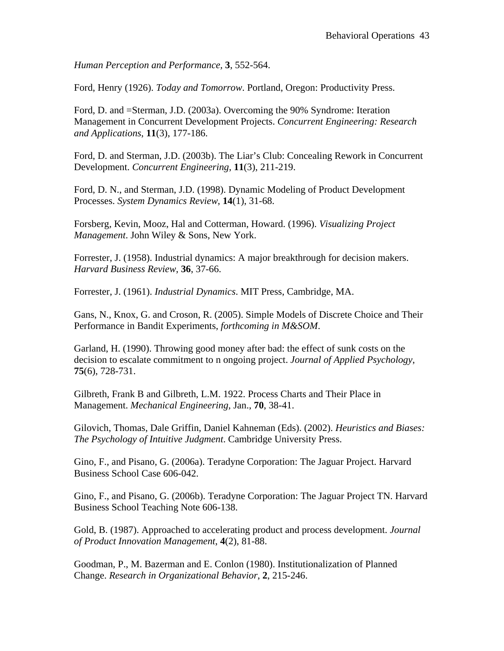*Human Perception and Performance,* **3**, 552-564.

Ford, Henry (1926). *Today and Tomorrow*. Portland, Oregon: Productivity Press.

Ford, D. and =Sterman, J.D. (2003a). Overcoming the 90% Syndrome: Iteration Management in Concurrent Development Projects. *Concurrent Engineering: Research and Applications*, **11**(3), 177-186.

Ford, D. and Sterman, J.D. (2003b). The Liar's Club: Concealing Rework in Concurrent Development. *Concurrent Engineering*, **11**(3), 211-219.

Ford, D. N., and Sterman, J.D. (1998). Dynamic Modeling of Product Development Processes. *System Dynamics Review*, **14**(1), 31-68.

Forsberg, Kevin, Mooz, Hal and Cotterman, Howard. (1996). *Visualizing Project Management*. John Wiley & Sons, New York.

Forrester, J. (1958). Industrial dynamics: A major breakthrough for decision makers. *Harvard Business Review*, **36**, 37-66.

Forrester, J. (1961). *Industrial Dynamics*. MIT Press, Cambridge, MA.

Gans, N., Knox, G. and Croson, R. (2005). Simple Models of Discrete Choice and Their Performance in Bandit Experiments, *forthcoming in M&SOM*.

Garland, H. (1990). Throwing good money after bad: the effect of sunk costs on the decision to escalate commitment to n ongoing project. *Journal of Applied Psychology*, **75**(6), 728-731.

Gilbreth, Frank B and Gilbreth, L.M. 1922. Process Charts and Their Place in Management. *Mechanical Engineering*, Jan., **70**, 38-41.

Gilovich, Thomas, Dale Griffin, Daniel Kahneman (Eds). (2002). *Heuristics and Biases: The Psychology of Intuitive Judgment*. Cambridge University Press.

Gino, F., and Pisano, G. (2006a). Teradyne Corporation: The Jaguar Project. Harvard Business School Case 606-042.

Gino, F., and Pisano, G. (2006b). Teradyne Corporation: The Jaguar Project TN. Harvard Business School Teaching Note 606-138.

Gold, B. (1987). Approached to accelerating product and process development. *Journal of Product Innovation Management*, **4**(2), 81-88.

Goodman, P., M. Bazerman and E. Conlon (1980). Institutionalization of Planned Change. *Research in Organizational Behavior*, **2**, 215-246.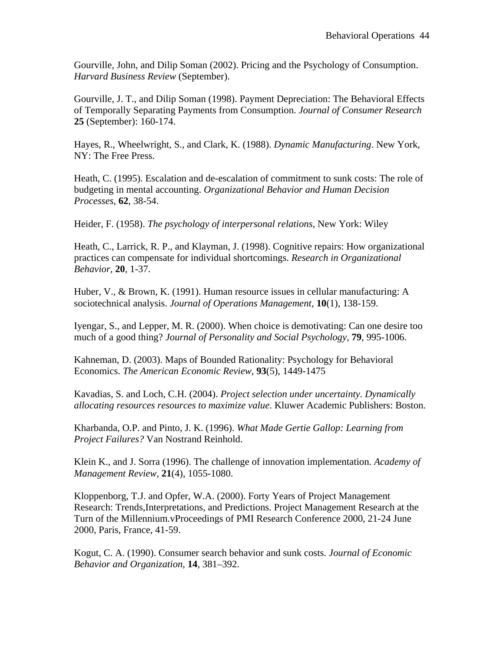Gourville, John, and Dilip Soman (2002). Pricing and the Psychology of Consumption. *Harvard Business Review* (September).

Gourville, J. T., and Dilip Soman (1998). Payment Depreciation: The Behavioral Effects of Temporally Separating Payments from Consumption. *Journal of Consumer Research* **25** (September): 160-174.

Hayes, R., Wheelwright, S., and Clark, K. (1988). *Dynamic Manufacturing*. New York, NY: The Free Press.

Heath, C. (1995). Escalation and de-escalation of commitment to sunk costs: The role of budgeting in mental accounting. *Organizational Behavior and Human Decision Processes*, **62**, 38-54.

Heider, F. (1958). *The psychology of interpersonal relations*, New York: Wiley

Heath, C., Larrick, R. P., and Klayman, J. (1998). Cognitive repairs: How organizational practices can compensate for individual shortcomings. *Research in Organizational Behavior*, **20**, 1-37.

Huber, V., & Brown, K. (1991). Human resource issues in cellular manufacturing: A sociotechnical analysis. *Journal of Operations Management*, **10**(1), 138-159.

Iyengar, S., and Lepper, M. R. (2000). When choice is demotivating: Can one desire too much of a good thing? *Journal of Personality and Social Psychology*, **79**, 995-1006.

Kahneman, D. (2003). Maps of Bounded Rationality: Psychology for Behavioral Economics. *The American Economic Review*, **93**(5), 1449-1475

Kavadias, S. and Loch, C.H. (2004). *Project selection under uncertainty. Dynamically allocating resources resources to maximize value*. Kluwer Academic Publishers: Boston.

Kharbanda, O.P. and Pinto, J. K. (1996). *What Made Gertie Gallop: Learning from Project Failures?* Van Nostrand Reinhold.

Klein K., and J. Sorra (1996). The challenge of innovation implementation. *Academy of Management Review*, **21**(4), 1055-1080.

Kloppenborg, T.J. and Opfer, W.A. (2000). Forty Years of Project Management Research: Trends,Interpretations, and Predictions. Project Management Research at the Turn of the Millennium.vProceedings of PMI Research Conference 2000, 21-24 June 2000, Paris, France, 41-59.

Kogut, C. A. (1990). Consumer search behavior and sunk costs. *Journal of Economic Behavior and Organization*, **14**, 381–392.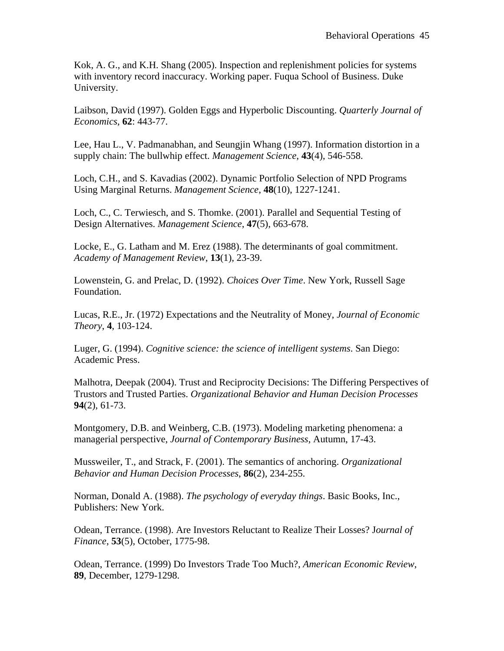Kok, A. G., and K.H. Shang (2005). Inspection and replenishment policies for systems with inventory record inaccuracy. Working paper. Fuqua School of Business. Duke University.

Laibson, David (1997). Golden Eggs and Hyperbolic Discounting. *Quarterly Journal of Economics*, **62**: 443-77.

Lee, Hau L., V. Padmanabhan, and Seungjin Whang (1997). Information distortion in a supply chain: The bullwhip effect. *Management Science*, **43**(4), 546-558.

Loch, C.H., and S. Kavadias (2002). Dynamic Portfolio Selection of NPD Programs Using Marginal Returns. *Management Science*, **48**(10), 1227-1241.

Loch, C., C. Terwiesch, and S. Thomke. (2001). Parallel and Sequential Testing of Design Alternatives. *Management Science*, **47**(5), 663-678.

Locke, E., G. Latham and M. Erez (1988). The determinants of goal commitment. *Academy of Management Review*, **13**(1), 23-39.

Lowenstein, G. and Prelac, D. (1992). *Choices Over Time*. New York, Russell Sage Foundation.

Lucas, R.E., Jr. (1972) Expectations and the Neutrality of Money, *Journal of Economic Theory*, **4**, 103-124.

Luger, G. (1994). *Cognitive science: the science of intelligent systems*. San Diego: Academic Press.

Malhotra, Deepak (2004). Trust and Reciprocity Decisions: The Differing Perspectives of Trustors and Trusted Parties. *Organizational Behavior and Human Decision Processes* **94**(2), 61-73.

Montgomery, D.B. and Weinberg, C.B. (1973). Modeling marketing phenomena: a managerial perspective, *Journal of Contemporary Business*, Autumn, 17-43.

Mussweiler, T., and Strack, F. (2001). The semantics of anchoring. *Organizational Behavior and Human Decision Processes*, **86**(2), 234-255.

Norman, Donald A. (1988). *The psychology of everyday things*. Basic Books, Inc., Publishers: New York.

Odean, Terrance. (1998). Are Investors Reluctant to Realize Their Losses? J*ournal of Finance*, **53**(5), October, 1775-98.

Odean, Terrance. (1999) Do Investors Trade Too Much?, *American Economic Review*, **89**, December, 1279-1298.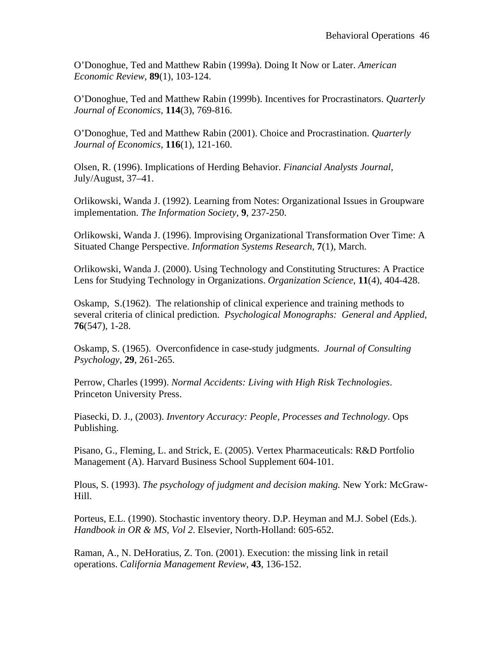O'Donoghue, Ted and Matthew Rabin (1999a). Doing It Now or Later. *American Economic Review*, **89**(1), 103-124.

O'Donoghue, Ted and Matthew Rabin (1999b). Incentives for Procrastinators. *Quarterly Journal of Economics*, **114**(3), 769-816.

O'Donoghue, Ted and Matthew Rabin (2001). Choice and Procrastination. *Quarterly Journal of Economics*, **116**(1), 121-160.

Olsen, R. (1996). Implications of Herding Behavior. *Financial Analysts Journal*, July/August, 37–41.

Orlikowski, Wanda J. (1992). Learning from Notes: Organizational Issues in Groupware implementation. *The Information Society*, **9**, 237-250.

Orlikowski, Wanda J. (1996). Improvising Organizational Transformation Over Time: A Situated Change Perspective. *Information Systems Research*, **7**(1), March.

Orlikowski, Wanda J. (2000). Using Technology and Constituting Structures: A Practice Lens for Studying Technology in Organizations. *Organization Science*, **11**(4), 404-428.

Oskamp, S.(1962). The relationship of clinical experience and training methods to several criteria of clinical prediction. *Psychological Monographs: General and Applied*, **76**(547), 1-28.

Oskamp, S. (1965). Overconfidence in case-study judgments. *Journal of Consulting Psychology*, **29**, 261-265.

Perrow, Charles (1999). *Normal Accidents: Living with High Risk Technologies*. Princeton University Press.

Piasecki, D. J., (2003). *Inventory Accuracy: People, Processes and Technology*. Ops Publishing.

Pisano, G., Fleming, L. and Strick, E. (2005). Vertex Pharmaceuticals: R&D Portfolio Management (A). Harvard Business School Supplement 604-101.

Plous, S. (1993). *The psychology of judgment and decision making.* New York: McGraw-Hill.

Porteus, E.L. (1990). Stochastic inventory theory. D.P. Heyman and M.J. Sobel (Eds.). *Handbook in OR & MS, Vol 2*. Elsevier, North-Holland: 605-652.

Raman, A., N. DeHoratius, Z. Ton. (2001). Execution: the missing link in retail operations. *California Management Review*, **43**, 136-152.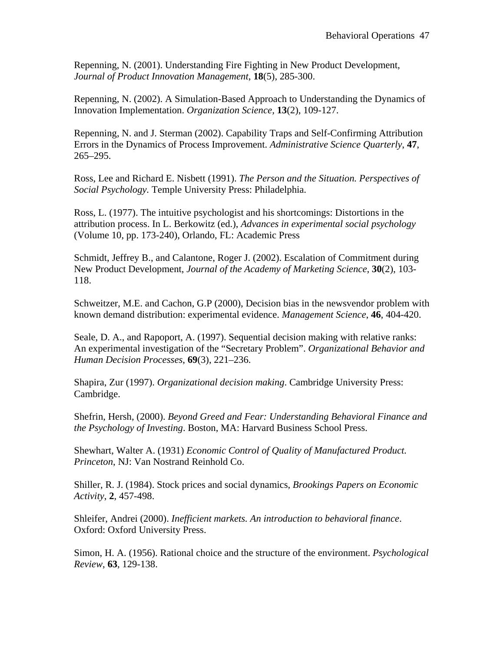Repenning, N. (2001). Understanding Fire Fighting in New Product Development, *Journal of Product Innovation Management*, **18**(5), 285-300.

Repenning, N. (2002). A Simulation-Based Approach to Understanding the Dynamics of Innovation Implementation. *Organization Science,* **13**(2), 109-127.

Repenning, N. and J. Sterman (2002). Capability Traps and Self-Confirming Attribution Errors in the Dynamics of Process Improvement. *Administrative Science Quarterly*, **47**, 265–295.

Ross, Lee and Richard E. Nisbett (1991). *The Person and the Situation. Perspectives of Social Psychology.* Temple University Press: Philadelphia.

Ross, L. (1977). The intuitive psychologist and his shortcomings: Distortions in the attribution process. In L. Berkowitz (ed.), *Advances in experimental social psychology* (Volume 10, pp. 173-240), Orlando, FL: Academic Press

Schmidt, Jeffrey B., and Calantone, Roger J. (2002). Escalation of Commitment during New Product Development, *Journal of the Academy of Marketing Science*, **30**(2), 103- 118.

Schweitzer, M.E. and Cachon, G.P (2000), Decision bias in the newsvendor problem with known demand distribution: experimental evidence. *Management Science*, **46**, 404-420.

Seale, D. A., and Rapoport, A. (1997). Sequential decision making with relative ranks: An experimental investigation of the "Secretary Problem". *Organizational Behavior and Human Decision Processes*, **69**(3), 221–236.

Shapira, Zur (1997). *Organizational decision making*. Cambridge University Press: Cambridge.

Shefrin, Hersh, (2000). *Beyond Greed and Fear: Understanding Behavioral Finance and the Psychology of Investing*. Boston, MA: Harvard Business School Press.

Shewhart, Walter A. (1931) *Economic Control of Quality of Manufactured Product. Princeton*, NJ: Van Nostrand Reinhold Co.

Shiller, R. J. (1984). Stock prices and social dynamics, *Brookings Papers on Economic Activity*, **2**, 457-498.

Shleifer, Andrei (2000). *Inefficient markets. An introduction to behavioral finance*. Oxford: Oxford University Press.

Simon, H. A. (1956). Rational choice and the structure of the environment. *Psychological Review*, **63**, 129-138.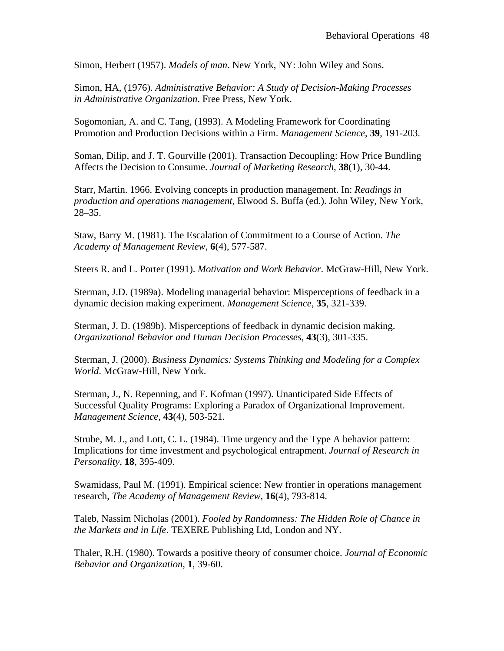Simon, Herbert (1957). *Models of man*. New York, NY: John Wiley and Sons.

Simon, HA, (1976). *Administrative Behavior: A Study of Decision-Making Processes in Administrative Organization*. Free Press, New York.

Sogomonian, A. and C. Tang, (1993). A Modeling Framework for Coordinating Promotion and Production Decisions within a Firm. *Management Science*, **39**, 191-203.

Soman, Dilip, and J. T. Gourville (2001). Transaction Decoupling: How Price Bundling Affects the Decision to Consume. *Journal of Marketing Research*, **38**(1), 30-44.

Starr, Martin. 1966. Evolving concepts in production management. In: *Readings in production and operations management*, Elwood S. Buffa (ed.). John Wiley, New York, 28–35.

Staw, Barry M. (1981). The Escalation of Commitment to a Course of Action. *The Academy of Management Review*, **6**(4), 577-587.

Steers R. and L. Porter (1991). *Motivation and Work Behavior*. McGraw-Hill, New York.

Sterman, J.D. (1989a). Modeling managerial behavior: Misperceptions of feedback in a dynamic decision making experiment. *Management Science*, **35**, 321-339.

Sterman, J. D. (1989b). Misperceptions of feedback in dynamic decision making. *Organizational Behavior and Human Decision Processes*, **43**(3), 301-335.

Sterman, J. (2000). *Business Dynamics: Systems Thinking and Modeling for a Complex World*. McGraw-Hill, New York.

Sterman, J., N. Repenning, and F. Kofman (1997). Unanticipated Side Effects of Successful Quality Programs: Exploring a Paradox of Organizational Improvement. *Management Science*, **43**(4), 503-521.

Strube, M. J., and Lott, C. L. (1984). Time urgency and the Type A behavior pattern: Implications for time investment and psychological entrapment. *Journal of Research in Personality*, **18**, 395-409.

Swamidass, Paul M. (1991). Empirical science: New frontier in operations management research, *The Academy of Management Review*, **16**(4), 793-814.

Taleb, Nassim Nicholas (2001). *Fooled by Randomness: The Hidden Role of Chance in the Markets and in Life*. TEXERE Publishing Ltd, London and NY.

Thaler, R.H. (1980). Towards a positive theory of consumer choice. *Journal of Economic Behavior and Organization*, **1**, 39-60.